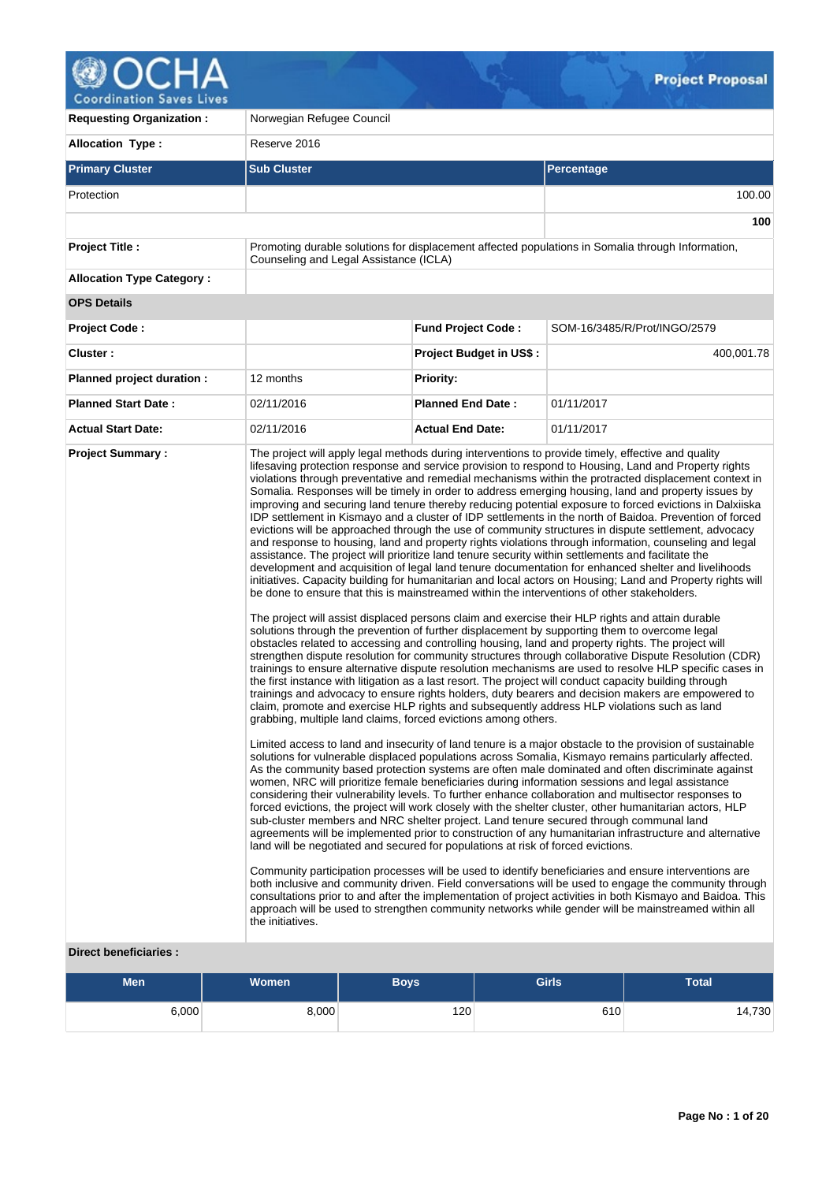

**Requesting Organization :** Norwegian Refugee Council **Allocation Type :** Reserve 2016 **Primary Cluster Sub Cluster Sub Cluster** Sub Cluster Sub Cluster Sub Cluster Sub Cluster Sub Cluster Sub Cluster Protection 100.00 **100 Project Title :** Promoting durable solutions for displacement affected populations in Somalia through Information, Counseling and Legal Assistance (ICLA) **Allocation Type Category : OPS Details Project Code : Fund Project Code :** SOM-16/3485/R/Prot/INGO/2579 **Cluster : Project Budget in US\$ :** 400,001.78 **Planned project duration :** 12 months **Planned Priority: Planned Start Date :** 02/11/2016 **Planned End Date :** 01/11/2017 **Actual Start Date:** 02/11/2016 **Actual End Date:** 01/11/2017 **Project Summary :** The project will apply legal methods during interventions to provide timely, effective and quality lifesaving protection response and service provision to respond to Housing, Land and Property rights violations through preventative and remedial mechanisms within the protracted displacement context in Somalia. Responses will be timely in order to address emerging housing, land and property issues by improving and securing land tenure thereby reducing potential exposure to forced evictions in Dalxiiska IDP settlement in Kismayo and a cluster of IDP settlements in the north of Baidoa. Prevention of forced evictions will be approached through the use of community structures in dispute settlement, advocacy and response to housing, land and property rights violations through information, counseling and legal assistance. The project will prioritize land tenure security within settlements and facilitate the development and acquisition of legal land tenure documentation for enhanced shelter and livelihoods initiatives. Capacity building for humanitarian and local actors on Housing; Land and Property rights will be done to ensure that this is mainstreamed within the interventions of other stakeholders. The project will assist displaced persons claim and exercise their HLP rights and attain durable solutions through the prevention of further displacement by supporting them to overcome legal obstacles related to accessing and controlling housing, land and property rights. The project will strengthen dispute resolution for community structures through collaborative Dispute Resolution (CDR) trainings to ensure alternative dispute resolution mechanisms are used to resolve HLP specific cases in the first instance with litigation as a last resort. The project will conduct capacity building through trainings and advocacy to ensure rights holders, duty bearers and decision makers are empowered to claim, promote and exercise HLP rights and subsequently address HLP violations such as land grabbing, multiple land claims, forced evictions among others. Limited access to land and insecurity of land tenure is a major obstacle to the provision of sustainable solutions for vulnerable displaced populations across Somalia, Kismayo remains particularly affected. As the community based protection systems are often male dominated and often discriminate against women, NRC will prioritize female beneficiaries during information sessions and legal assistance considering their vulnerability levels. To further enhance collaboration and multisector responses to forced evictions, the project will work closely with the shelter cluster, other humanitarian actors, HLP sub-cluster members and NRC shelter project. Land tenure secured through communal land agreements will be implemented prior to construction of any humanitarian infrastructure and alternative land will be negotiated and secured for populations at risk of forced evictions. Community participation processes will be used to identify beneficiaries and ensure interventions are both inclusive and community driven. Field conversations will be used to engage the community through consultations prior to and after the implementation of project activities in both Kismayo and Baidoa. This approach will be used to strengthen community networks while gender will be mainstreamed within all the initiatives.

# **Direct beneficiaries :**

| <b>Men</b> | <b>Women</b> | Boys | <b>Girls</b> | <b>Total</b> |
|------------|--------------|------|--------------|--------------|
| 6,000      | 8,000        | 120  | 610          | 14,730       |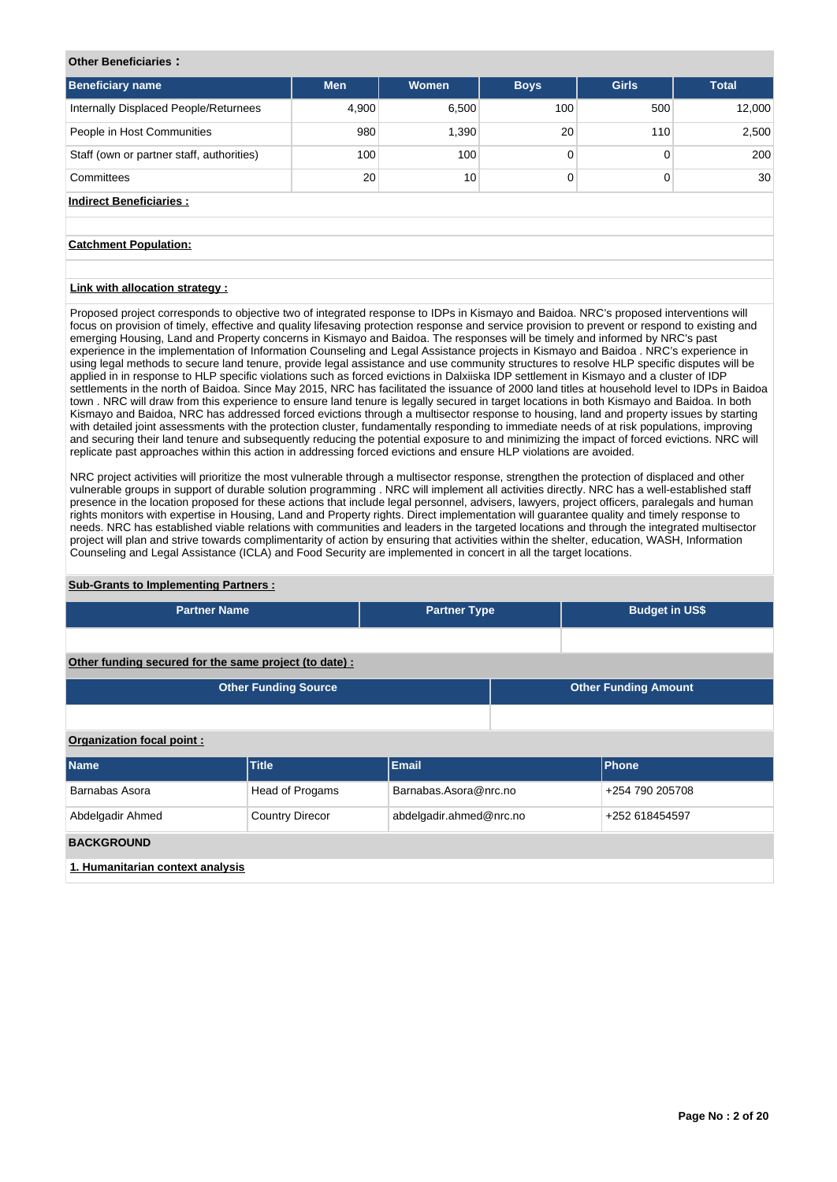# **Other Beneficiaries :**

| <b>Beneficiary name</b>                   | <b>Men</b> | Women | <b>Boys</b> | <b>Girls</b> | <b>Total</b>    |
|-------------------------------------------|------------|-------|-------------|--------------|-----------------|
| Internally Displaced People/Returnees     | 4,900      | 6,500 | 100         | 500          | 12,000          |
| People in Host Communities                | 980        | 1,390 | 20          | 110          | 2,500           |
| Staff (own or partner staff, authorities) | 100        | 100   |             |              | 200             |
| Committees                                | 20         | 10    |             |              | 30 <sup>1</sup> |
| Indirect Beneficiaries:                   |            |       |             |              |                 |

# **Catchment Population:**

# **Link with allocation strategy :**

Proposed project corresponds to objective two of integrated response to IDPs in Kismayo and Baidoa. NRC's proposed interventions will focus on provision of timely, effective and quality lifesaving protection response and service provision to prevent or respond to existing and emerging Housing, Land and Property concerns in Kismayo and Baidoa. The responses will be timely and informed by NRC's past experience in the implementation of Information Counseling and Legal Assistance projects in Kismayo and Baidoa . NRC's experience in using legal methods to secure land tenure, provide legal assistance and use community structures to resolve HLP specific disputes will be applied in in response to HLP specific violations such as forced evictions in Dalxiiska IDP settlement in Kismayo and a cluster of IDP settlements in the north of Baidoa. Since May 2015, NRC has facilitated the issuance of 2000 land titles at household level to IDPs in Baidoa town . NRC will draw from this experience to ensure land tenure is legally secured in target locations in both Kismayo and Baidoa. In both Kismayo and Baidoa, NRC has addressed forced evictions through a multisector response to housing, land and property issues by starting with detailed joint assessments with the protection cluster, fundamentally responding to immediate needs of at risk populations, improving and securing their land tenure and subsequently reducing the potential exposure to and minimizing the impact of forced evictions. NRC will replicate past approaches within this action in addressing forced evictions and ensure HLP violations are avoided.

NRC project activities will prioritize the most vulnerable through a multisector response, strengthen the protection of displaced and other vulnerable groups in support of durable solution programming . NRC will implement all activities directly. NRC has a well-established staff presence in the location proposed for these actions that include legal personnel, advisers, lawyers, project officers, paralegals and human rights monitors with expertise in Housing, Land and Property rights. Direct implementation will guarantee quality and timely response to needs. NRC has established viable relations with communities and leaders in the targeted locations and through the integrated multisector project will plan and strive towards complimentarity of action by ensuring that activities within the shelter, education, WASH, Information Counseling and Legal Assistance (ICLA) and Food Security are implemented in concert in all the target locations.

#### **Sub-Grants to Implementing Partners :**

| <b>Partner Name</b>                                    |                             | <b>Partner Type</b>     |  | <b>Budget in US\$</b>       |  |  |  |  |  |
|--------------------------------------------------------|-----------------------------|-------------------------|--|-----------------------------|--|--|--|--|--|
|                                                        |                             |                         |  |                             |  |  |  |  |  |
| Other funding secured for the same project (to date) : |                             |                         |  |                             |  |  |  |  |  |
|                                                        | <b>Other Funding Source</b> |                         |  | <b>Other Funding Amount</b> |  |  |  |  |  |
|                                                        |                             |                         |  |                             |  |  |  |  |  |
| Organization focal point:                              |                             |                         |  |                             |  |  |  |  |  |
| Name                                                   | <b>Title</b>                | <b>Email</b>            |  | Phone                       |  |  |  |  |  |
| Barnabas Asora                                         | Head of Progams             | Barnabas.Asora@nrc.no   |  | +254 790 205708             |  |  |  |  |  |
| Abdelgadir Ahmed                                       | <b>Country Direcor</b>      | abdelgadir.ahmed@nrc.no |  | +252 618454597              |  |  |  |  |  |
| <b>BACKGROUND</b>                                      |                             |                         |  |                             |  |  |  |  |  |
| 1. Humanitarian context analysis                       |                             |                         |  |                             |  |  |  |  |  |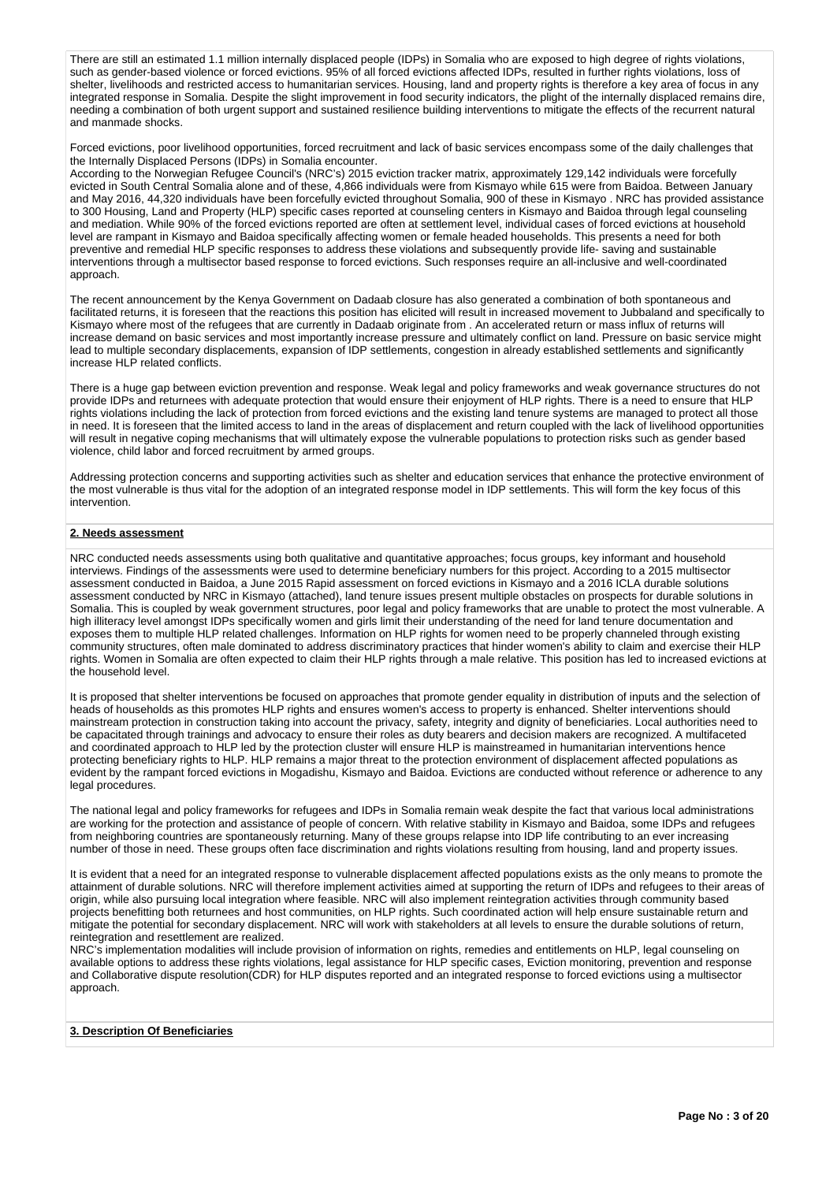There are still an estimated 1.1 million internally displaced people (IDPs) in Somalia who are exposed to high degree of rights violations, such as gender-based violence or forced evictions. 95% of all forced evictions affected IDPs, resulted in further rights violations, loss of shelter, livelihoods and restricted access to humanitarian services. Housing, land and property rights is therefore a key area of focus in any integrated response in Somalia. Despite the slight improvement in food security indicators, the plight of the internally displaced remains dire, needing a combination of both urgent support and sustained resilience building interventions to mitigate the effects of the recurrent natural and manmade shocks.

Forced evictions, poor livelihood opportunities, forced recruitment and lack of basic services encompass some of the daily challenges that the Internally Displaced Persons (IDPs) in Somalia encounter.

According to the Norwegian Refugee Council's (NRC's) 2015 eviction tracker matrix, approximately 129,142 individuals were forcefully evicted in South Central Somalia alone and of these, 4,866 individuals were from Kismayo while 615 were from Baidoa. Between January and May 2016, 44,320 individuals have been forcefully evicted throughout Somalia, 900 of these in Kismayo . NRC has provided assistance to 300 Housing, Land and Property (HLP) specific cases reported at counseling centers in Kismayo and Baidoa through legal counseling and mediation. While 90% of the forced evictions reported are often at settlement level, individual cases of forced evictions at household level are rampant in Kismayo and Baidoa specifically affecting women or female headed households. This presents a need for both preventive and remedial HLP specific responses to address these violations and subsequently provide life- saving and sustainable interventions through a multisector based response to forced evictions. Such responses require an all-inclusive and well-coordinated approach.

The recent announcement by the Kenya Government on Dadaab closure has also generated a combination of both spontaneous and facilitated returns, it is foreseen that the reactions this position has elicited will result in increased movement to Jubbaland and specifically to Kismayo where most of the refugees that are currently in Dadaab originate from . An accelerated return or mass influx of returns will increase demand on basic services and most importantly increase pressure and ultimately conflict on land. Pressure on basic service might lead to multiple secondary displacements, expansion of IDP settlements, congestion in already established settlements and significantly increase HLP related conflicts.

There is a huge gap between eviction prevention and response. Weak legal and policy frameworks and weak governance structures do not provide IDPs and returnees with adequate protection that would ensure their enjoyment of HLP rights. There is a need to ensure that HLP rights violations including the lack of protection from forced evictions and the existing land tenure systems are managed to protect all those in need. It is foreseen that the limited access to land in the areas of displacement and return coupled with the lack of livelihood opportunities will result in negative coping mechanisms that will ultimately expose the vulnerable populations to protection risks such as gender based violence, child labor and forced recruitment by armed groups.

Addressing protection concerns and supporting activities such as shelter and education services that enhance the protective environment of the most vulnerable is thus vital for the adoption of an integrated response model in IDP settlements. This will form the key focus of this intervention.

# **2. Needs assessment**

NRC conducted needs assessments using both qualitative and quantitative approaches; focus groups, key informant and household interviews. Findings of the assessments were used to determine beneficiary numbers for this project. According to a 2015 multisector assessment conducted in Baidoa, a June 2015 Rapid assessment on forced evictions in Kismayo and a 2016 ICLA durable solutions assessment conducted by NRC in Kismayo (attached), land tenure issues present multiple obstacles on prospects for durable solutions in Somalia. This is coupled by weak government structures, poor legal and policy frameworks that are unable to protect the most vulnerable. A high illiteracy level amongst IDPs specifically women and girls limit their understanding of the need for land tenure documentation and exposes them to multiple HLP related challenges. Information on HLP rights for women need to be properly channeled through existing community structures, often male dominated to address discriminatory practices that hinder women's ability to claim and exercise their HLP rights. Women in Somalia are often expected to claim their HLP rights through a male relative. This position has led to increased evictions at the household level.

It is proposed that shelter interventions be focused on approaches that promote gender equality in distribution of inputs and the selection of heads of households as this promotes HLP rights and ensures women's access to property is enhanced. Shelter interventions should mainstream protection in construction taking into account the privacy, safety, integrity and dignity of beneficiaries. Local authorities need to be capacitated through trainings and advocacy to ensure their roles as duty bearers and decision makers are recognized. A multifaceted and coordinated approach to HLP led by the protection cluster will ensure HLP is mainstreamed in humanitarian interventions hence protecting beneficiary rights to HLP. HLP remains a major threat to the protection environment of displacement affected populations as evident by the rampant forced evictions in Mogadishu, Kismayo and Baidoa. Evictions are conducted without reference or adherence to any legal procedures.

The national legal and policy frameworks for refugees and IDPs in Somalia remain weak despite the fact that various local administrations are working for the protection and assistance of people of concern. With relative stability in Kismayo and Baidoa, some IDPs and refugees from neighboring countries are spontaneously returning. Many of these groups relapse into IDP life contributing to an ever increasing number of those in need. These groups often face discrimination and rights violations resulting from housing, land and property issues.

It is evident that a need for an integrated response to vulnerable displacement affected populations exists as the only means to promote the attainment of durable solutions. NRC will therefore implement activities aimed at supporting the return of IDPs and refugees to their areas of origin, while also pursuing local integration where feasible. NRC will also implement reintegration activities through community based projects benefitting both returnees and host communities, on HLP rights. Such coordinated action will help ensure sustainable return and mitigate the potential for secondary displacement. NRC will work with stakeholders at all levels to ensure the durable solutions of return, reintegration and resettlement are realized.

NRC's implementation modalities will include provision of information on rights, remedies and entitlements on HLP, legal counseling on available options to address these rights violations, legal assistance for HLP specific cases, Eviction monitoring, prevention and response and Collaborative dispute resolution(CDR) for HLP disputes reported and an integrated response to forced evictions using a multisector approach.

## **3. Description Of Beneficiaries**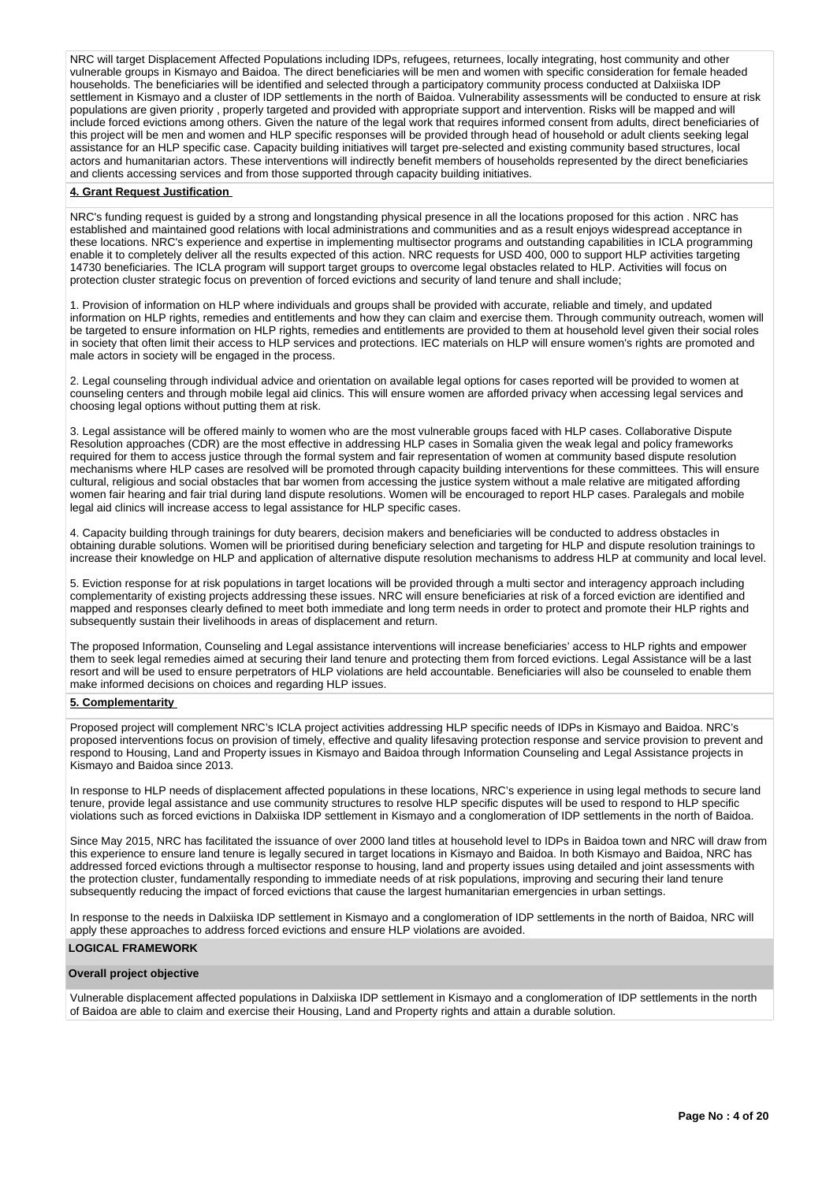NRC will target Displacement Affected Populations including IDPs, refugees, returnees, locally integrating, host community and other vulnerable groups in Kismayo and Baidoa. The direct beneficiaries will be men and women with specific consideration for female headed households. The beneficiaries will be identified and selected through a participatory community process conducted at Dalxiiska IDP settlement in Kismayo and a cluster of IDP settlements in the north of Baidoa. Vulnerability assessments will be conducted to ensure at risk populations are given priority , properly targeted and provided with appropriate support and intervention. Risks will be mapped and will include forced evictions among others. Given the nature of the legal work that requires informed consent from adults, direct beneficiaries of this project will be men and women and HLP specific responses will be provided through head of household or adult clients seeking legal assistance for an HLP specific case. Capacity building initiatives will target pre-selected and existing community based structures, local and existing community based structures, local actors and humanitarian actors. These interventions will indirectly benefit members of households represented by the direct beneficiaries and clients accessing services and from those supported through capacity building initiatives.

#### **4. Grant Request Justification**

NRC's funding request is guided by a strong and longstanding physical presence in all the locations proposed for this action . NRC has established and maintained good relations with local administrations and communities and as a result enjoys widespread acceptance in these locations. NRC's experience and expertise in implementing multisector programs and outstanding capabilities in ICLA programming enable it to completely deliver all the results expected of this action. NRC requests for USD 400, 000 to support HLP activities targeting 14730 beneficiaries. The ICLA program will support target groups to overcome legal obstacles related to HLP. Activities will focus on protection cluster strategic focus on prevention of forced evictions and security of land tenure and shall include;

1. Provision of information on HLP where individuals and groups shall be provided with accurate, reliable and timely, and updated information on HLP rights, remedies and entitlements and how they can claim and exercise them. Through community outreach, women will be targeted to ensure information on HLP rights, remedies and entitlements are provided to them at household level given their social roles in society that often limit their access to HLP services and protections. IEC materials on HLP will ensure women's rights are promoted and male actors in society will be engaged in the process.

2. Legal counseling through individual advice and orientation on available legal options for cases reported will be provided to women at counseling centers and through mobile legal aid clinics. This will ensure women are afforded privacy when accessing legal services and choosing legal options without putting them at risk.

3. Legal assistance will be offered mainly to women who are the most vulnerable groups faced with HLP cases. Collaborative Dispute Resolution approaches (CDR) are the most effective in addressing HLP cases in Somalia given the weak legal and policy frameworks required for them to access justice through the formal system and fair representation of women at community based dispute resolution mechanisms where HLP cases are resolved will be promoted through capacity building interventions for these committees. This will ensure cultural, religious and social obstacles that bar women from accessing the justice system without a male relative are mitigated affording women fair hearing and fair trial during land dispute resolutions. Women will be encouraged to report HLP cases. Paralegals and mobile legal aid clinics will increase access to legal assistance for HLP specific cases.

4. Capacity building through trainings for duty bearers, decision makers and beneficiaries will be conducted to address obstacles in obtaining durable solutions. Women will be prioritised during beneficiary selection and targeting for HLP and dispute resolution trainings to increase their knowledge on HLP and application of alternative dispute resolution mechanisms to address HLP at community and local level.

5. Eviction response for at risk populations in target locations will be provided through a multi sector and interagency approach including complementarity of existing projects addressing these issues. NRC will ensure beneficiaries at risk of a forced eviction are identified and mapped and responses clearly defined to meet both immediate and long term needs in order to protect and promote their HLP rights and subsequently sustain their livelihoods in areas of displacement and return.

The proposed Information, Counseling and Legal assistance interventions will increase beneficiaries' access to HLP rights and empower them to seek legal remedies aimed at securing their land tenure and protecting them from forced evictions. Legal Assistance will be a last resort and will be used to ensure perpetrators of HLP violations are held accountable. Beneficiaries will also be counseled to enable them make informed decisions on choices and regarding HLP issues.

# **5. Complementarity**

Proposed project will complement NRC's ICLA project activities addressing HLP specific needs of IDPs in Kismayo and Baidoa. NRC's proposed interventions focus on provision of timely, effective and quality lifesaving protection response and service provision to prevent and respond to Housing, Land and Property issues in Kismayo and Baidoa through Information Counseling and Legal Assistance projects in Kismayo and Baidoa since 2013.

In response to HLP needs of displacement affected populations in these locations, NRC's experience in using legal methods to secure land tenure, provide legal assistance and use community structures to resolve HLP specific disputes will be used to respond to HLP specific violations such as forced evictions in Dalxiiska IDP settlement in Kismayo and a conglomeration of IDP settlements in the north of Baidoa.

Since May 2015, NRC has facilitated the issuance of over 2000 land titles at household level to IDPs in Baidoa town and NRC will draw from this experience to ensure land tenure is legally secured in target locations in Kismayo and Baidoa. In both Kismayo and Baidoa, NRC has addressed forced evictions through a multisector response to housing, land and property issues using detailed and joint assessments with the protection cluster, fundamentally responding to immediate needs of at risk populations, improving and securing their land tenure subsequently reducing the impact of forced evictions that cause the largest humanitarian emergencies in urban settings.

In response to the needs in Dalxiiska IDP settlement in Kismayo and a conglomeration of IDP settlements in the north of Baidoa, NRC will apply these approaches to address forced evictions and ensure HLP violations are avoided.

#### **LOGICAL FRAMEWORK**

# **Overall project objective**

Vulnerable displacement affected populations in Dalxiiska IDP settlement in Kismayo and a conglomeration of IDP settlements in the north of Baidoa are able to claim and exercise their Housing, Land and Property rights and attain a durable solution.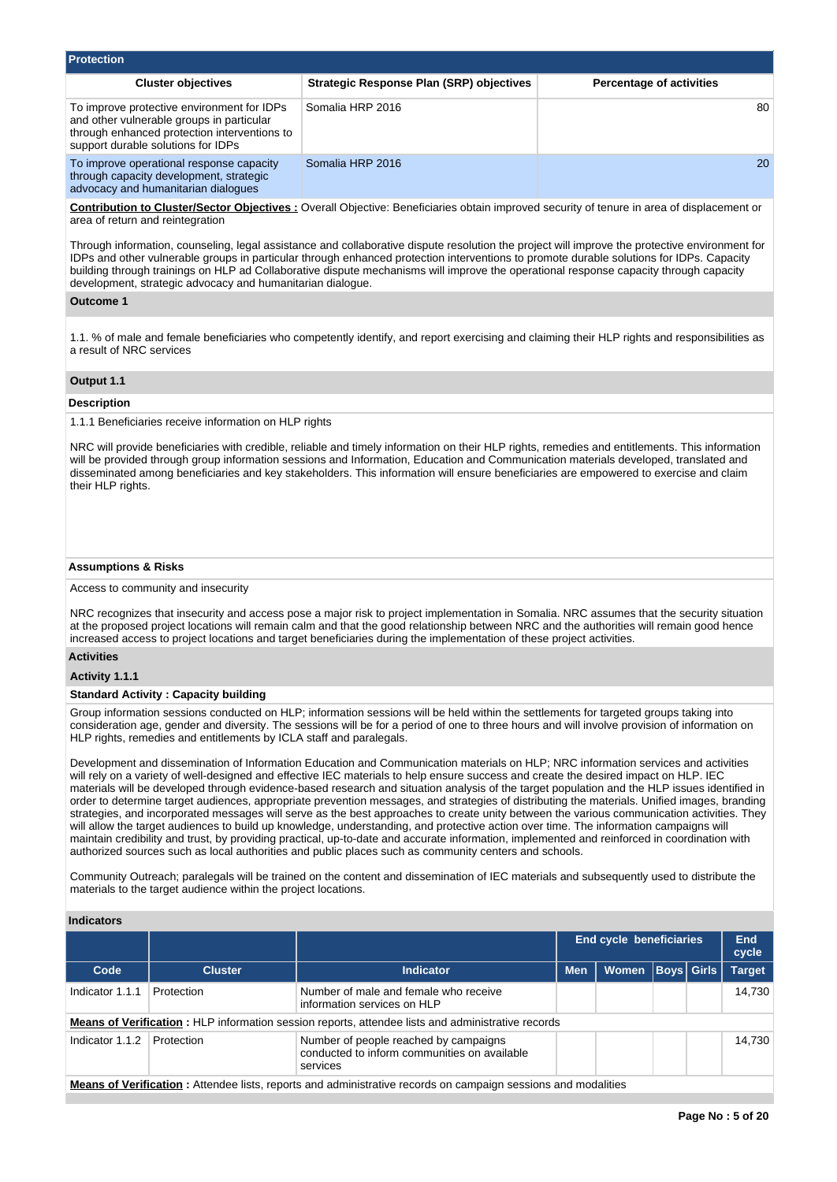| <b>Protection</b>                                                                                                                                                             |                                          |                                 |  |  |  |  |  |  |  |  |
|-------------------------------------------------------------------------------------------------------------------------------------------------------------------------------|------------------------------------------|---------------------------------|--|--|--|--|--|--|--|--|
| <b>Cluster objectives</b>                                                                                                                                                     | Strategic Response Plan (SRP) objectives | <b>Percentage of activities</b> |  |  |  |  |  |  |  |  |
| To improve protective environment for IDPs<br>and other vulnerable groups in particular<br>through enhanced protection interventions to<br>support durable solutions for IDPs | Somalia HRP 2016                         | 80                              |  |  |  |  |  |  |  |  |
| To improve operational response capacity<br>through capacity development, strategic<br>advocacy and humanitarian dialogues                                                    | Somalia HRP 2016                         | <b>20</b>                       |  |  |  |  |  |  |  |  |

**Contribution to Cluster/Sector Objectives :** Overall Objective: Beneficiaries obtain improved security of tenure in area of displacement or area of return and reintegration

Through information, counseling, legal assistance and collaborative dispute resolution the project will improve the protective environment for IDPs and other vulnerable groups in particular through enhanced protection interventions to promote durable solutions for IDPs. Capacity building through trainings on HLP ad Collaborative dispute mechanisms will improve the operational response capacity through capacity development, strategic advocacy and humanitarian dialogue.

# **Outcome 1**

1.1. % of male and female beneficiaries who competently identify, and report exercising and claiming their HLP rights and responsibilities as a result of NRC services

## **Output 1.1**

## **Description**

1.1.1 Beneficiaries receive information on HLP rights

NRC will provide beneficiaries with credible, reliable and timely information on their HLP rights, remedies and entitlements. This information will be provided through group information sessions and Information, Education and Communication materials developed, translated and disseminated among beneficiaries and key stakeholders. This information will ensure beneficiaries are empowered to exercise and claim their HLP rights.

## **Assumptions & Risks**

Access to community and insecurity

NRC recognizes that insecurity and access pose a major risk to project implementation in Somalia. NRC assumes that the security situation at the proposed project locations will remain calm and that the good relationship between NRC and the authorities will remain good hence increased access to project locations and target beneficiaries during the implementation of these project activities.

## **Activities**

## **Activity 1.1.1**

## **Standard Activity : Capacity building**

Group information sessions conducted on HLP; information sessions will be held within the settlements for targeted groups taking into consideration age, gender and diversity. The sessions will be for a period of one to three hours and will involve provision of information on HLP rights, remedies and entitlements by ICLA staff and paralegals.

Development and dissemination of Information Education and Communication materials on HLP; NRC information services and activities will rely on a variety of well-designed and effective IEC materials to help ensure success and create the desired impact on HLP. IEC materials will be developed through evidence-based research and situation analysis of the target population and the HLP issues identified in order to determine target audiences, appropriate prevention messages, and strategies of distributing the materials. Unified images, branding strategies, and incorporated messages will serve as the best approaches to create unity between the various communication activities. They will allow the target audiences to build up knowledge, understanding, and protective action over time. The information campaigns will maintain credibility and trust, by providing practical, up-to-date and accurate information, implemented and reinforced in coordination with authorized sources such as local authorities and public places such as community centers and schools.

Community Outreach; paralegals will be trained on the content and dissemination of IEC materials and subsequently used to distribute the materials to the target audience within the project locations.

## **Indicators**

|                                                                                                                                    |                |                                                                                                                      | <b>End cycle beneficiaries</b> |                      |  |  | <b>End</b><br>cycle |
|------------------------------------------------------------------------------------------------------------------------------------|----------------|----------------------------------------------------------------------------------------------------------------------|--------------------------------|----------------------|--|--|---------------------|
| Code                                                                                                                               | <b>Cluster</b> | <b>Indicator</b>                                                                                                     | <b>Men</b>                     | Women   Boys   Girls |  |  | <b>Target</b>       |
| Indicator 1.1.1                                                                                                                    | Protection     | Number of male and female who receive<br>information services on HLP                                                 |                                |                      |  |  | 14.730              |
|                                                                                                                                    |                | <b>Means of Verification:</b> HLP information session reports, attendee lists and administrative records             |                                |                      |  |  |                     |
| Indicator 1.1.2<br>Number of people reached by campaigns<br>Protection<br>conducted to inform communities on available<br>services |                |                                                                                                                      |                                |                      |  |  | 14.730              |
|                                                                                                                                    |                | <b>Means of Verification:</b> Attendee lists, reports and administrative records on campaign sessions and modalities |                                |                      |  |  |                     |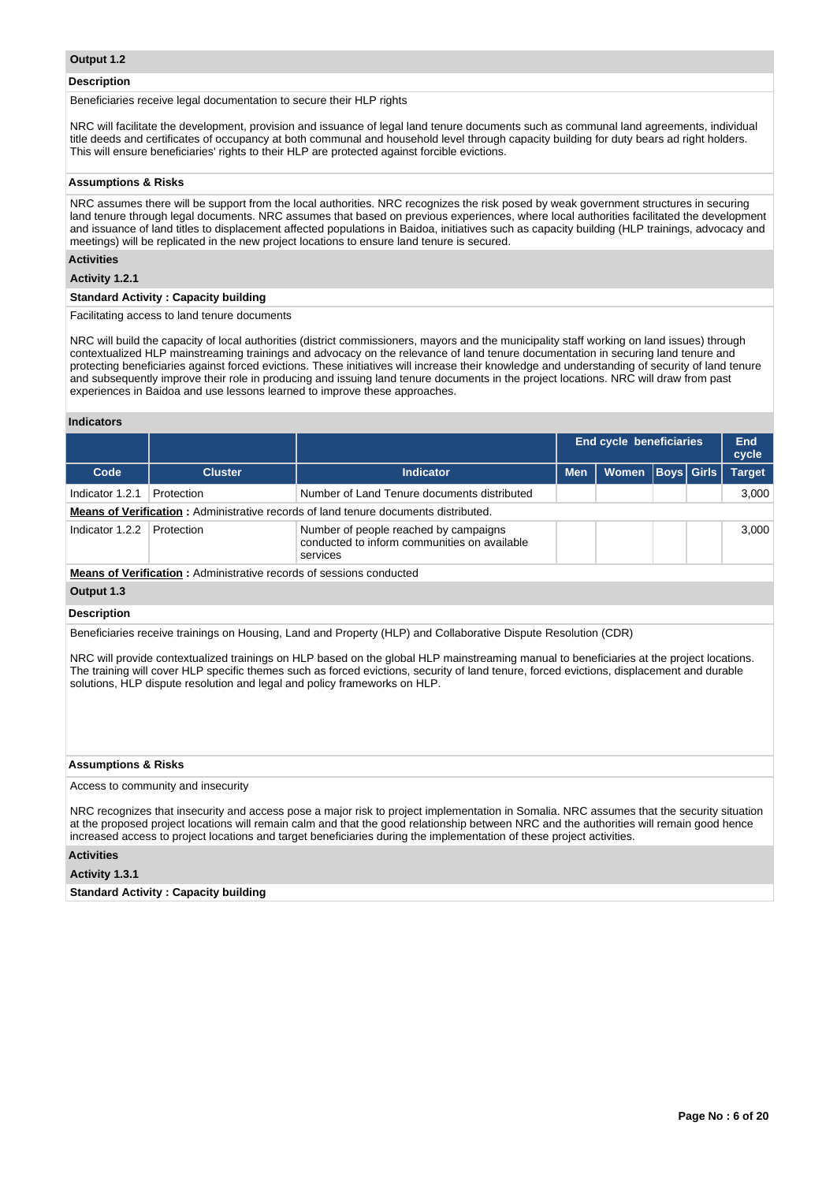#### **Description**

Beneficiaries receive legal documentation to secure their HLP rights

NRC will facilitate the development, provision and issuance of legal land tenure documents such as communal land agreements, individual title deeds and certificates of occupancy at both communal and household level through capacity building for duty bears ad right holders. This will ensure beneficiaries' rights to their HLP are protected against forcible evictions.

# **Assumptions & Risks**

NRC assumes there will be support from the local authorities. NRC recognizes the risk posed by weak government structures in securing land tenure through legal documents. NRC assumes that based on previous experiences, where local authorities facilitated the development and issuance of land titles to displacement affected populations in Baidoa, initiatives such as capacity building (HLP trainings, advocacy and meetings) will be replicated in the new project locations to ensure land tenure is secured.

# **Activities**

#### **Activity 1.2.1**

# **Standard Activity : Capacity building**

Facilitating access to land tenure documents

NRC will build the capacity of local authorities (district commissioners, mayors and the municipality staff working on land issues) through contextualized HLP mainstreaming trainings and advocacy on the relevance of land tenure documentation in securing land tenure and protecting beneficiaries against forced evictions. These initiatives will increase their knowledge and understanding of security of land tenure and subsequently improve their role in producing and issuing land tenure documents in the project locations. NRC will draw from past experiences in Baidoa and use lessons learned to improve these approaches.

## **Indicators**

|                                                                            |                                                           |                                                                                                   | <b>End cycle beneficiaries</b> |       |                   |  | End<br>cycle  |  |  |  |
|----------------------------------------------------------------------------|-----------------------------------------------------------|---------------------------------------------------------------------------------------------------|--------------------------------|-------|-------------------|--|---------------|--|--|--|
| Code                                                                       | <b>Cluster</b>                                            | <b>Indicator</b>                                                                                  | <b>Men</b>                     | Women | <b>Boys</b> Girls |  | <b>Target</b> |  |  |  |
| Indicator 1.2.1                                                            | Number of Land Tenure documents distributed<br>Protection |                                                                                                   |                                |       |                   |  |               |  |  |  |
|                                                                            |                                                           | <b>Means of Verification:</b> Administrative records of land tenure documents distributed.        |                                |       |                   |  |               |  |  |  |
| Indicator 1.2.2                                                            | Protection                                                | Number of people reached by campaigns<br>conducted to inform communities on available<br>services |                                |       |                   |  | 3.000         |  |  |  |
| <b>Means of Verification:</b> Administrative records of sessions conducted |                                                           |                                                                                                   |                                |       |                   |  |               |  |  |  |
| Output 1.3                                                                 |                                                           |                                                                                                   |                                |       |                   |  |               |  |  |  |

#### **Description**

Beneficiaries receive trainings on Housing, Land and Property (HLP) and Collaborative Dispute Resolution (CDR)

NRC will provide contextualized trainings on HLP based on the global HLP mainstreaming manual to beneficiaries at the project locations. The training will cover HLP specific themes such as forced evictions, security of land tenure, forced evictions, displacement and durable solutions, HLP dispute resolution and legal and policy frameworks on HLP.

#### **Assumptions & Risks**

Access to community and insecurity

NRC recognizes that insecurity and access pose a major risk to project implementation in Somalia. NRC assumes that the security situation at the proposed project locations will remain calm and that the good relationship between NRC and the authorities will remain good hence increased access to project locations and target beneficiaries during the implementation of these project activities.

# **Activities**

## **Activity 1.3.1**

**Standard Activity : Capacity building**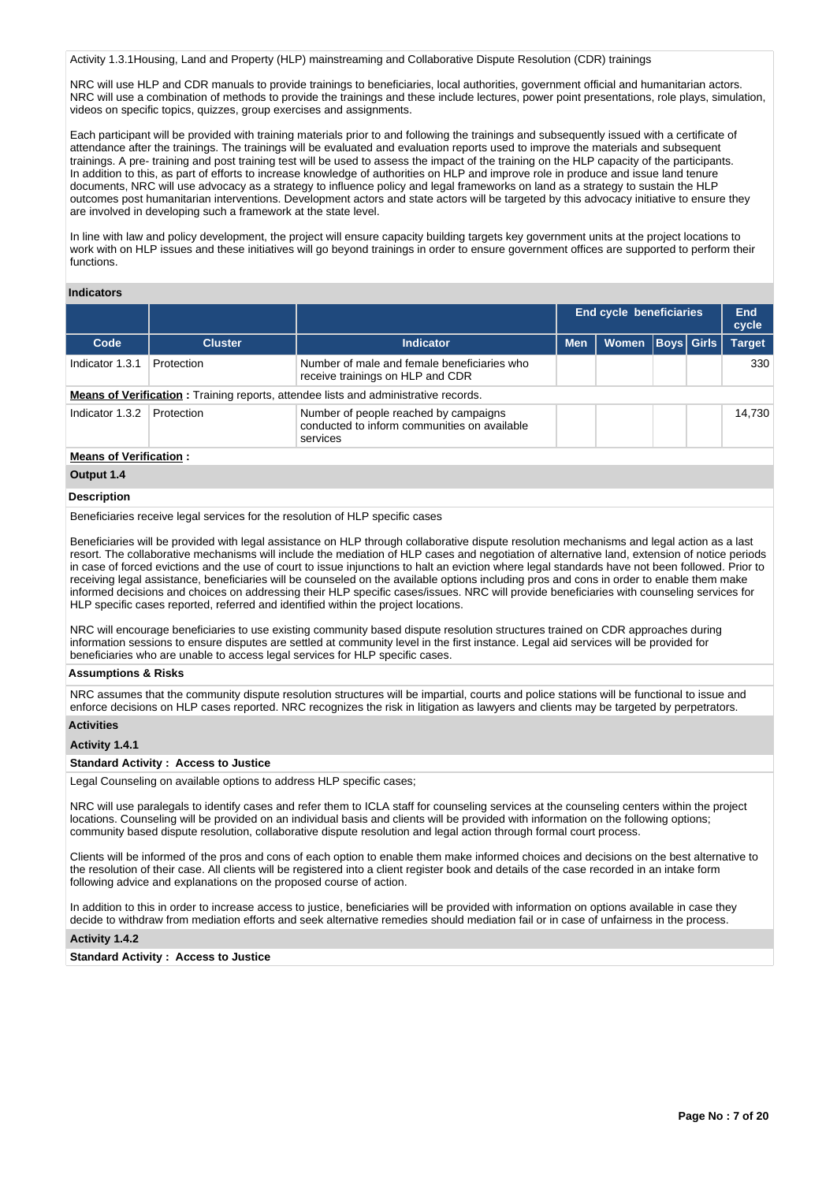Activity 1.3.1Housing, Land and Property (HLP) mainstreaming and Collaborative Dispute Resolution (CDR) trainings

NRC will use HLP and CDR manuals to provide trainings to beneficiaries, local authorities, government official and humanitarian actors. NRC will use a combination of methods to provide the trainings and these include lectures, power point presentations, role plays, simulation, videos on specific topics, quizzes, group exercises and assignments.

Each participant will be provided with training materials prior to and following the trainings and subsequently issued with a certificate of attendance after the trainings. The trainings will be evaluated and evaluation reports used to improve the materials and subsequent trainings. A pre- training and post training test will be used to assess the impact of the training on the HLP capacity of the participants. In addition to this, as part of efforts to increase knowledge of authorities on HLP and improve role in produce and issue land tenure documents, NRC will use advocacy as a strategy to influence policy and legal frameworks on land as a strategy to sustain the HLP outcomes post humanitarian interventions. Development actors and state actors will be targeted by this advocacy initiative to ensure they are involved in developing such a framework at the state level.

In line with law and policy development, the project will ensure capacity building targets key government units at the project locations to work with on HLP issues and these initiatives will go beyond trainings in order to ensure government offices are supported to perform their functions.

# **Indicators**

|                                                                                                                                    |                |                                                                                            |            | End cycle beneficiaries |                   |        | End<br>cycle  |
|------------------------------------------------------------------------------------------------------------------------------------|----------------|--------------------------------------------------------------------------------------------|------------|-------------------------|-------------------|--------|---------------|
| Code                                                                                                                               | <b>Cluster</b> | <b>Indicator</b>                                                                           | <b>Men</b> | Women                   | <b>Boys Girls</b> |        | <b>Target</b> |
| Indicator 1.3.1                                                                                                                    | Protection     | Number of male and female beneficiaries who<br>receive trainings on HLP and CDR            |            |                         |                   |        | 330           |
|                                                                                                                                    |                | <b>Means of Verification:</b> Training reports, attendee lists and administrative records. |            |                         |                   |        |               |
| Indicator 1.3.2<br>Number of people reached by campaigns<br>Protection<br>conducted to inform communities on available<br>services |                |                                                                                            |            |                         |                   | 14.730 |               |
| <b>Means of Verification:</b>                                                                                                      |                |                                                                                            |            |                         |                   |        |               |

#### **Output 1.4**

#### **Description**

Beneficiaries receive legal services for the resolution of HLP specific cases

Beneficiaries will be provided with legal assistance on HLP through collaborative dispute resolution mechanisms and legal action as a last resort. The collaborative mechanisms will include the mediation of HLP cases and negotiation of alternative land, extension of notice periods in case of forced evictions and the use of court to issue injunctions to halt an eviction where legal standards have not been followed. Prior to receiving legal assistance, beneficiaries will be counseled on the available options including pros and cons in order to enable them make informed decisions and choices on addressing their HLP specific cases/issues. NRC will provide beneficiaries with counseling services for HLP specific cases reported, referred and identified within the project locations.

NRC will encourage beneficiaries to use existing community based dispute resolution structures trained on CDR approaches during information sessions to ensure disputes are settled at community level in the first instance. Legal aid services will be provided for beneficiaries who are unable to access legal services for HLP specific cases.

#### **Assumptions & Risks**

NRC assumes that the community dispute resolution structures will be impartial, courts and police stations will be functional to issue and enforce decisions on HLP cases reported. NRC recognizes the risk in litigation as lawyers and clients may be targeted by perpetrators.

#### **Activities**

#### **Activity 1.4.1**

#### **Standard Activity : Access to Justice**

Legal Counseling on available options to address HLP specific cases;

NRC will use paralegals to identify cases and refer them to ICLA staff for counseling services at the counseling centers within the project locations. Counseling will be provided on an individual basis and clients will be provided with information on the following options; community based dispute resolution, collaborative dispute resolution and legal action through formal court process.

Clients will be informed of the pros and cons of each option to enable them make informed choices and decisions on the best alternative to the resolution of their case. All clients will be registered into a client register book and details of the case recorded in an intake form following advice and explanations on the proposed course of action.

In addition to this in order to increase access to justice, beneficiaries will be provided with information on options available in case they decide to withdraw from mediation efforts and seek alternative remedies should mediation fail or in case of unfairness in the process.

# **Activity 1.4.2**

**Standard Activity : Access to Justice**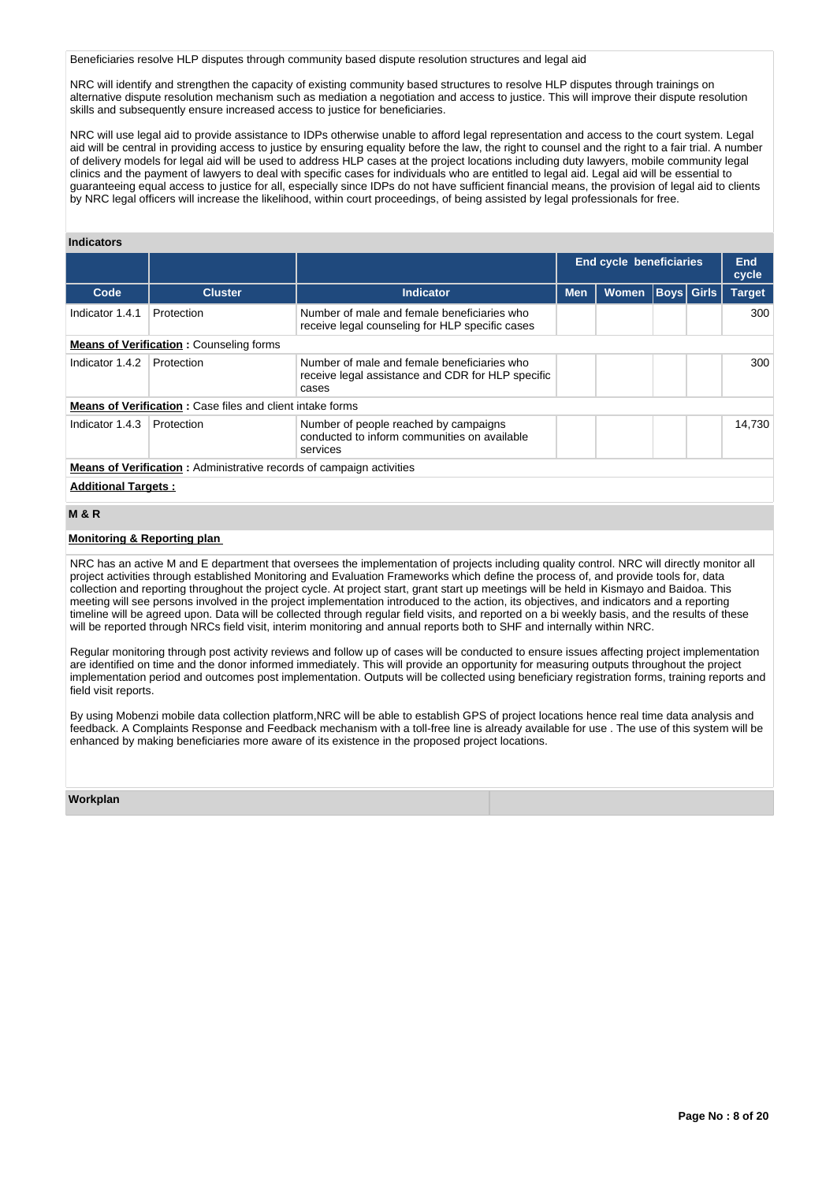Beneficiaries resolve HLP disputes through community based dispute resolution structures and legal aid

NRC will identify and strengthen the capacity of existing community based structures to resolve HLP disputes through trainings on alternative dispute resolution mechanism such as mediation a negotiation and access to justice. This will improve their dispute resolution skills and subsequently ensure increased access to justice for beneficiaries.

NRC will use legal aid to provide assistance to IDPs otherwise unable to afford legal representation and access to the court system. Legal aid will be central in providing access to justice by ensuring equality before the law, the right to counsel and the right to a fair trial. A number of delivery models for legal aid will be used to address HLP cases at the project locations including duty lawyers, mobile community legal clinics and the payment of lawyers to deal with specific cases for individuals who are entitled to legal aid. Legal aid will be essential to guaranteeing equal access to justice for all, especially since IDPs do not have sufficient financial means, the provision of legal aid to clients by NRC legal officers will increase the likelihood, within court proceedings, of being assisted by legal professionals for free.

# **Indicators**

|                                                |                                                                             |                                                                                                           |            | <b>End cycle beneficiaries</b> |  |                   | End<br>cycle  |  |  |
|------------------------------------------------|-----------------------------------------------------------------------------|-----------------------------------------------------------------------------------------------------------|------------|--------------------------------|--|-------------------|---------------|--|--|
| Code                                           | <b>Cluster</b>                                                              | <b>Indicator</b>                                                                                          | <b>Men</b> | <b>Women</b>                   |  | <b>Boys Girls</b> | <b>Target</b> |  |  |
| Indicator 1.4.1                                | Protection                                                                  | Number of male and female beneficiaries who<br>receive legal counseling for HLP specific cases            |            |                                |  |                   | 300           |  |  |
| <b>Means of Verification:</b> Counseling forms |                                                                             |                                                                                                           |            |                                |  |                   |               |  |  |
| Indicator 1.4.2                                | Protection                                                                  | Number of male and female beneficiaries who<br>receive legal assistance and CDR for HLP specific<br>cases |            |                                |  |                   | 300           |  |  |
|                                                | <b>Means of Verification:</b> Case files and client intake forms            |                                                                                                           |            |                                |  |                   |               |  |  |
| Indicator 1.4.3                                | Protection                                                                  | Number of people reached by campaigns<br>conducted to inform communities on available<br>services         |            |                                |  |                   | 14.730        |  |  |
|                                                | <b>Means of Verification:</b> Administrative records of campaign activities |                                                                                                           |            |                                |  |                   |               |  |  |

#### **Additional Targets :**

# **M & R**

#### **Monitoring & Reporting plan**

NRC has an active M and E department that oversees the implementation of projects including quality control. NRC will directly monitor all project activities through established Monitoring and Evaluation Frameworks which define the process of, and provide tools for, data collection and reporting throughout the project cycle. At project start, grant start up meetings will be held in Kismayo and Baidoa. This meeting will see persons involved in the project implementation introduced to the action, its objectives, and indicators and a reporting timeline will be agreed upon. Data will be collected through regular field visits, and reported on a bi weekly basis, and the results of these will be reported through NRCs field visit, interim monitoring and annual reports both to SHF and internally within NRC.

Regular monitoring through post activity reviews and follow up of cases will be conducted to ensure issues affecting project implementation are identified on time and the donor informed immediately. This will provide an opportunity for measuring outputs throughout the project implementation period and outcomes post implementation. Outputs will be collected using beneficiary registration forms, training reports and field visit reports.

By using Mobenzi mobile data collection platform,NRC will be able to establish GPS of project locations hence real time data analysis and feedback. A Complaints Response and Feedback mechanism with a toll-free line is already available for use . The use of this system will be enhanced by making beneficiaries more aware of its existence in the proposed project locations.

#### **Workplan**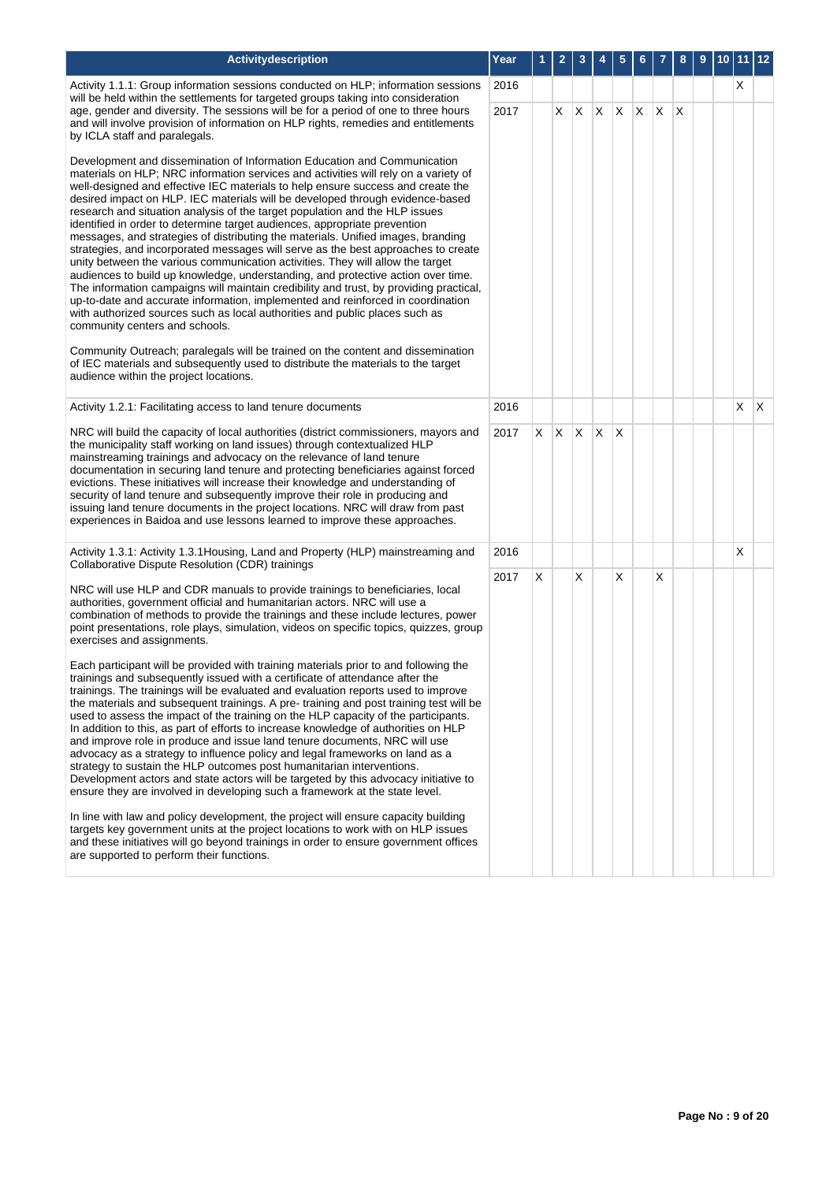| Activitydescription                                                                                                                                                                                                                                                                                                                                                                                                                                                                                                                                                                                                                                                                                                                                                                                                                                                                                                                                                                                                                                                                                                                                                                                                                                                                                                                                                                                                                                                                                                                                                                                                                  | Year | 1  | 2            | 3          | 4       | 5            | 6            |    | 8            | 9 | 10 11 |   | $ 12\rangle$ |
|--------------------------------------------------------------------------------------------------------------------------------------------------------------------------------------------------------------------------------------------------------------------------------------------------------------------------------------------------------------------------------------------------------------------------------------------------------------------------------------------------------------------------------------------------------------------------------------------------------------------------------------------------------------------------------------------------------------------------------------------------------------------------------------------------------------------------------------------------------------------------------------------------------------------------------------------------------------------------------------------------------------------------------------------------------------------------------------------------------------------------------------------------------------------------------------------------------------------------------------------------------------------------------------------------------------------------------------------------------------------------------------------------------------------------------------------------------------------------------------------------------------------------------------------------------------------------------------------------------------------------------------|------|----|--------------|------------|---------|--------------|--------------|----|--------------|---|-------|---|--------------|
| Activity 1.1.1: Group information sessions conducted on HLP; information sessions<br>will be held within the settlements for targeted groups taking into consideration                                                                                                                                                                                                                                                                                                                                                                                                                                                                                                                                                                                                                                                                                                                                                                                                                                                                                                                                                                                                                                                                                                                                                                                                                                                                                                                                                                                                                                                               | 2016 |    |              |            |         |              |              |    |              |   |       | X |              |
| age, gender and diversity. The sessions will be for a period of one to three hours<br>and will involve provision of information on HLP rights, remedies and entitlements<br>by ICLA staff and paralegals.                                                                                                                                                                                                                                                                                                                                                                                                                                                                                                                                                                                                                                                                                                                                                                                                                                                                                                                                                                                                                                                                                                                                                                                                                                                                                                                                                                                                                            | 2017 |    |              | $X \mid X$ | $X$ $X$ |              | $\mathsf{X}$ | X. | $\mathsf{X}$ |   |       |   |              |
| Development and dissemination of Information Education and Communication<br>materials on HLP; NRC information services and activities will rely on a variety of<br>well-designed and effective IEC materials to help ensure success and create the<br>desired impact on HLP. IEC materials will be developed through evidence-based<br>research and situation analysis of the target population and the HLP issues<br>identified in order to determine target audiences, appropriate prevention<br>messages, and strategies of distributing the materials. Unified images, branding<br>strategies, and incorporated messages will serve as the best approaches to create<br>unity between the various communication activities. They will allow the target<br>audiences to build up knowledge, understanding, and protective action over time.<br>The information campaigns will maintain credibility and trust, by providing practical,<br>up-to-date and accurate information, implemented and reinforced in coordination<br>with authorized sources such as local authorities and public places such as<br>community centers and schools.<br>Community Outreach; paralegals will be trained on the content and dissemination<br>of IEC materials and subsequently used to distribute the materials to the target<br>audience within the project locations.                                                                                                                                                                                                                                                                        |      |    |              |            |         |              |              |    |              |   |       |   |              |
| Activity 1.2.1: Facilitating access to land tenure documents                                                                                                                                                                                                                                                                                                                                                                                                                                                                                                                                                                                                                                                                                                                                                                                                                                                                                                                                                                                                                                                                                                                                                                                                                                                                                                                                                                                                                                                                                                                                                                         | 2016 |    |              |            |         |              |              |    |              |   |       | X | $\mathsf{X}$ |
| NRC will build the capacity of local authorities (district commissioners, mayors and<br>the municipality staff working on land issues) through contextualized HLP<br>mainstreaming trainings and advocacy on the relevance of land tenure<br>documentation in securing land tenure and protecting beneficiaries against forced<br>evictions. These initiatives will increase their knowledge and understanding of<br>security of land tenure and subsequently improve their role in producing and<br>issuing land tenure documents in the project locations. NRC will draw from past<br>experiences in Baidoa and use lessons learned to improve these approaches.                                                                                                                                                                                                                                                                                                                                                                                                                                                                                                                                                                                                                                                                                                                                                                                                                                                                                                                                                                   | 2017 | X. | $X \times X$ |            |         | $\mathsf{X}$ |              |    |              |   |       |   |              |
| Activity 1.3.1: Activity 1.3.1Housing, Land and Property (HLP) mainstreaming and<br>Collaborative Dispute Resolution (CDR) trainings                                                                                                                                                                                                                                                                                                                                                                                                                                                                                                                                                                                                                                                                                                                                                                                                                                                                                                                                                                                                                                                                                                                                                                                                                                                                                                                                                                                                                                                                                                 | 2016 |    |              |            |         |              |              |    |              |   |       | X |              |
| NRC will use HLP and CDR manuals to provide trainings to beneficiaries, local<br>authorities, government official and humanitarian actors. NRC will use a<br>combination of methods to provide the trainings and these include lectures, power<br>point presentations, role plays, simulation, videos on specific topics, quizzes, group<br>exercises and assignments.<br>Each participant will be provided with training materials prior to and following the<br>trainings and subsequently issued with a certificate of attendance after the<br>trainings. The trainings will be evaluated and evaluation reports used to improve<br>the materials and subsequent trainings. A pre-training and post training test will be<br>used to assess the impact of the training on the HLP capacity of the participants.<br>In addition to this, as part of efforts to increase knowledge of authorities on HLP<br>and improve role in produce and issue land tenure documents, NRC will use<br>advocacy as a strategy to influence policy and legal frameworks on land as a<br>strategy to sustain the HLP outcomes post humanitarian interventions.<br>Development actors and state actors will be targeted by this advocacy initiative to<br>ensure they are involved in developing such a framework at the state level.<br>In line with law and policy development, the project will ensure capacity building<br>targets key government units at the project locations to work with on HLP issues<br>and these initiatives will go beyond trainings in order to ensure government offices<br>are supported to perform their functions. | 2017 | X  |              | х          |         | Х            |              | X  |              |   |       |   |              |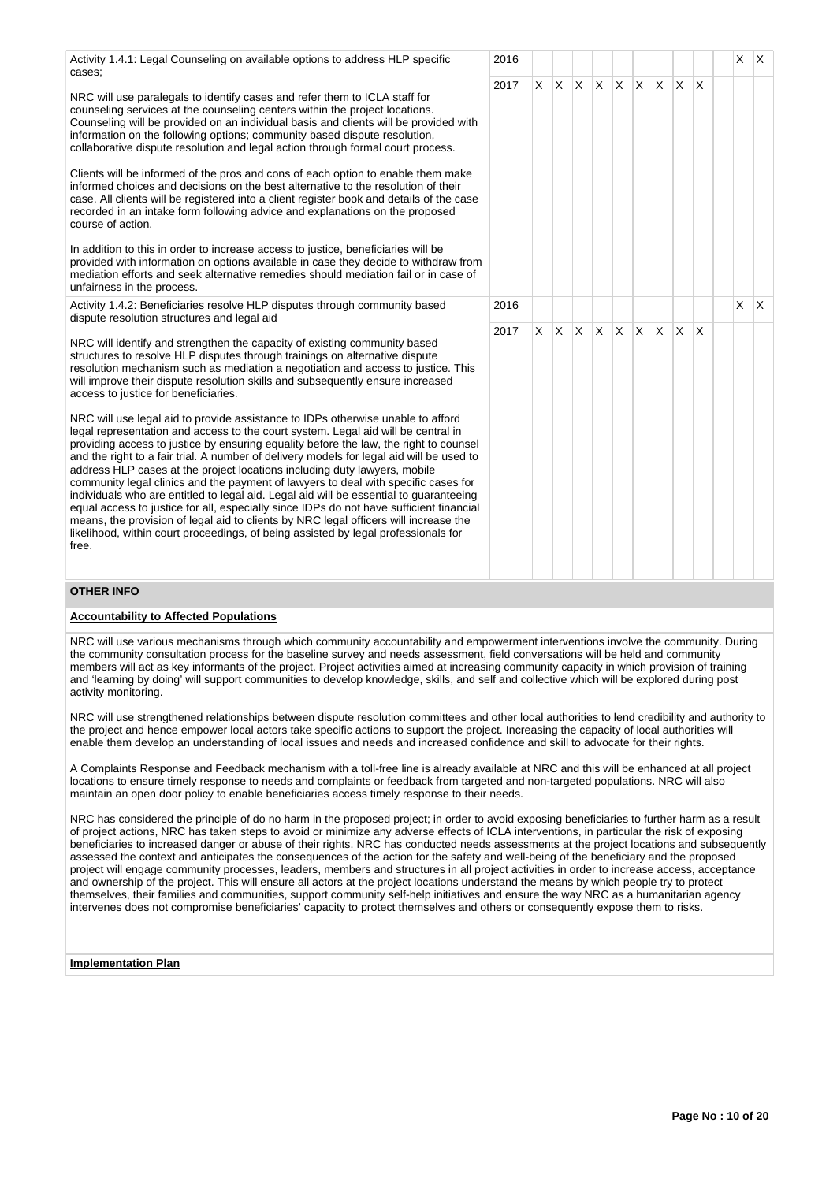Activity 1.4.1: Legal Counseling on available options to address HLP specific cases; NRC will use paralegals to identify cases and refer them to ICLA staff for counseling services at the counseling centers within the project locations. Counseling will be provided on an individual basis and clients will be provided with information on the following options; community based dispute resolution, collaborative dispute resolution and legal action through formal court process. Clients will be informed of the pros and cons of each option to enable them make informed choices and decisions on the best alternative to the resolution of their case. All clients will be registered into a client register book and details of the case recorded in an intake form following advice and explanations on the proposed course of action. In addition to this in order to increase access to justice, beneficiaries will be provided with information on options available in case they decide to withdraw from mediation efforts and seek alternative remedies should mediation fail or in case of unfairness in the process. 2016 X X 2017 |X X |X |X |X |X |X |X Activity 1.4.2: Beneficiaries resolve HLP disputes through community based dispute resolution structures and legal aid NRC will identify and strengthen the capacity of existing community based structures to resolve HLP disputes through trainings on alternative dispute resolution mechanism such as mediation a negotiation and access to justice. This will improve their dispute resolution skills and subsequently ensure increased access to justice for beneficiaries. NRC will use legal aid to provide assistance to IDPs otherwise unable to afford legal representation and access to the court system. Legal aid will be central in providing access to justice by ensuring equality before the law, the right to counsel and the right to a fair trial. A number of delivery models for legal aid will be used to address HLP cases at the project locations including duty lawyers, mobile community legal clinics and the payment of lawyers to deal with specific cases for individuals who are entitled to legal aid. Legal aid will be essential to guaranteeing equal access to justice for all, especially since IDPs do not have sufficient financial means, the provision of legal aid to clients by NRC legal officers will increase the likelihood, within court proceedings, of being assisted by legal professionals for free. 2016 X X 2017 X X X X X X X X X **OTHER INFO**

## **Accountability to Affected Populations**

NRC will use various mechanisms through which community accountability and empowerment interventions involve the community. During the community consultation process for the baseline survey and needs assessment, field conversations will be held and community members will act as key informants of the project. Project activities aimed at increasing community capacity in which provision of training and 'learning by doing' will support communities to develop knowledge, skills, and self and collective which will be explored during post activity monitoring.

NRC will use strengthened relationships between dispute resolution committees and other local authorities to lend credibility and authority to the project and hence empower local actors take specific actions to support the project. Increasing the capacity of local authorities will enable them develop an understanding of local issues and needs and increased confidence and skill to advocate for their rights.

A Complaints Response and Feedback mechanism with a toll-free line is already available at NRC and this will be enhanced at all project locations to ensure timely response to needs and complaints or feedback from targeted and non-targeted populations. NRC will also maintain an open door policy to enable beneficiaries access timely response to their needs.

NRC has considered the principle of do no harm in the proposed project; in order to avoid exposing beneficiaries to further harm as a result of project actions, NRC has taken steps to avoid or minimize any adverse effects of ICLA interventions, in particular the risk of exposing beneficiaries to increased danger or abuse of their rights. NRC has conducted needs assessments at the project locations and subsequently assessed the context and anticipates the consequences of the action for the safety and well-being of the beneficiary and the proposed project will engage community processes, leaders, members and structures in all project activities in order to increase access, acceptance and ownership of the project. This will ensure all actors at the project locations understand the means by which people try to protect themselves, their families and communities, support community self-help initiatives and ensure the way NRC as a humanitarian agency intervenes does not compromise beneficiaries' capacity to protect themselves and others or consequently expose them to risks.

#### **Implementation Plan**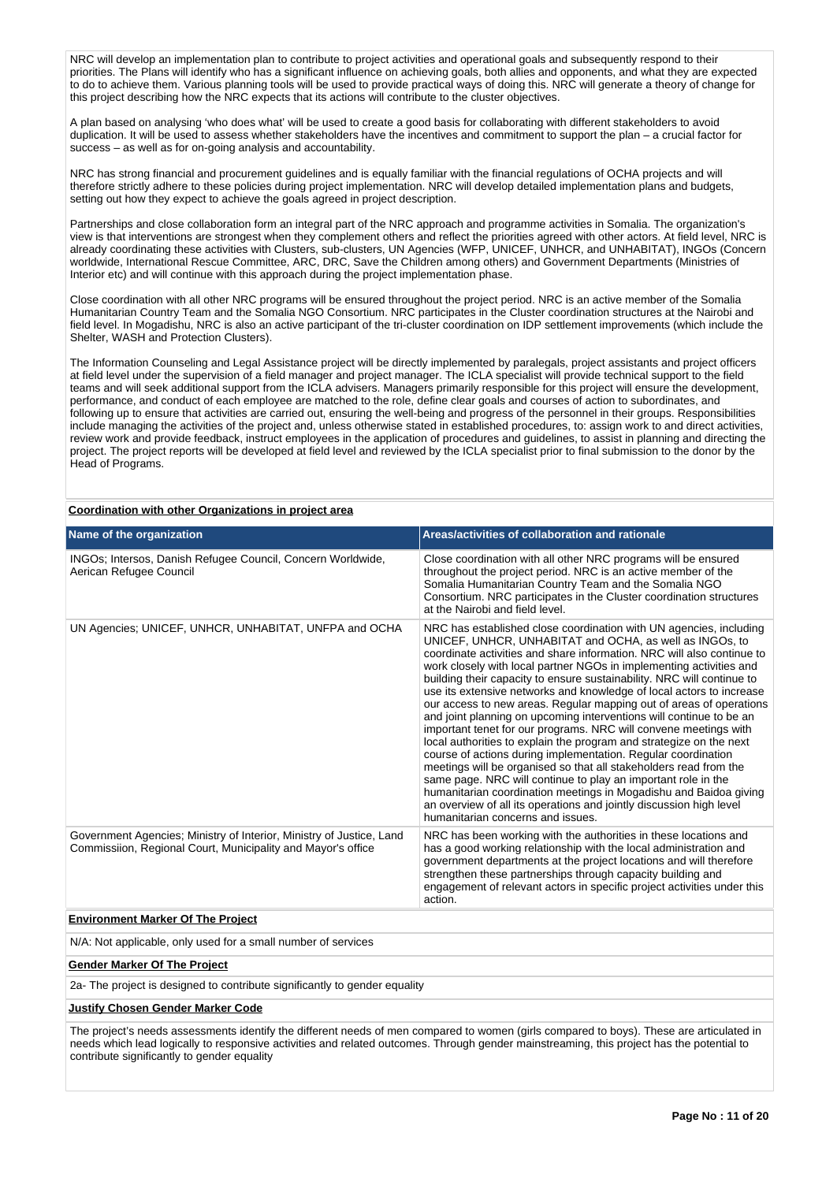NRC will develop an implementation plan to contribute to project activities and operational goals and subsequently respond to their priorities. The Plans will identify who has a significant influence on achieving goals, both allies and opponents, and what they are expected to do to achieve them. Various planning tools will be used to provide practical ways of doing this. NRC will generate a theory of change for this project describing how the NRC expects that its actions will contribute to the cluster objectives.

A plan based on analysing 'who does what' will be used to create a good basis for collaborating with different stakeholders to avoid duplication. It will be used to assess whether stakeholders have the incentives and commitment to support the plan – a crucial factor for success – as well as for on-going analysis and accountability.

NRC has strong financial and procurement guidelines and is equally familiar with the financial regulations of OCHA projects and will therefore strictly adhere to these policies during project implementation. NRC will develop detailed implementation plans and budgets, setting out how they expect to achieve the goals agreed in project description.

Partnerships and close collaboration form an integral part of the NRC approach and programme activities in Somalia. The organization's view is that interventions are strongest when they complement others and reflect the priorities agreed with other actors. At field level, NRC is already coordinating these activities with Clusters, sub-clusters, UN Agencies (WFP, UNICEF, UNHCR, and UNHABITAT), INGOs (Concern worldwide, International Rescue Committee, ARC, DRC, Save the Children among others) and Government Departments (Ministries of Interior etc) and will continue with this approach during the project implementation phase.

Close coordination with all other NRC programs will be ensured throughout the project period. NRC is an active member of the Somalia Humanitarian Country Team and the Somalia NGO Consortium. NRC participates in the Cluster coordination structures at the Nairobi and field level. In Mogadishu, NRC is also an active participant of the tri-cluster coordination on IDP settlement improvements (which include the Shelter, WASH and Protection Clusters).

The Information Counseling and Legal Assistance project will be directly implemented by paralegals, project assistants and project officers at field level under the supervision of a field manager and project manager. The ICLA specialist will provide technical support to the field teams and will seek additional support from the ICLA advisers. Managers primarily responsible for this project will ensure the development, performance, and conduct of each employee are matched to the role, define clear goals and courses of action to subordinates, and following up to ensure that activities are carried out, ensuring the well-being and progress of the personnel in their groups. Responsibilities include managing the activities of the project and, unless otherwise stated in established procedures, to: assign work to and direct activities, review work and provide feedback, instruct employees in the application of procedures and guidelines, to assist in planning and directing the project. The project reports will be developed at field level and reviewed by the ICLA specialist prior to final submission to the donor by the Head of Programs.

| Name of the organization                                                                                                                                                                                                            | Areas/activities of collaboration and rationale                                                                                                                                                                                                                                                                                                                                                                                                                                                                                                                                                                                                                                                                                                                                                                                                                                                                                                                                                                                                                                                                   |
|-------------------------------------------------------------------------------------------------------------------------------------------------------------------------------------------------------------------------------------|-------------------------------------------------------------------------------------------------------------------------------------------------------------------------------------------------------------------------------------------------------------------------------------------------------------------------------------------------------------------------------------------------------------------------------------------------------------------------------------------------------------------------------------------------------------------------------------------------------------------------------------------------------------------------------------------------------------------------------------------------------------------------------------------------------------------------------------------------------------------------------------------------------------------------------------------------------------------------------------------------------------------------------------------------------------------------------------------------------------------|
| INGOs; Intersos, Danish Refugee Council, Concern Worldwide,<br>Aerican Refugee Council                                                                                                                                              | Close coordination with all other NRC programs will be ensured<br>throughout the project period. NRC is an active member of the<br>Somalia Humanitarian Country Team and the Somalia NGO<br>Consortium. NRC participates in the Cluster coordination structures<br>at the Nairobi and field level.                                                                                                                                                                                                                                                                                                                                                                                                                                                                                                                                                                                                                                                                                                                                                                                                                |
| UN Agencies; UNICEF, UNHCR, UNHABITAT, UNFPA and OCHA                                                                                                                                                                               | NRC has established close coordination with UN agencies, including<br>UNICEF, UNHCR, UNHABITAT and OCHA, as well as INGOs, to<br>coordinate activities and share information. NRC will also continue to<br>work closely with local partner NGOs in implementing activities and<br>building their capacity to ensure sustainability. NRC will continue to<br>use its extensive networks and knowledge of local actors to increase<br>our access to new areas. Regular mapping out of areas of operations<br>and joint planning on upcoming interventions will continue to be an<br>important tenet for our programs. NRC will convene meetings with<br>local authorities to explain the program and strategize on the next<br>course of actions during implementation. Regular coordination<br>meetings will be organised so that all stakeholders read from the<br>same page. NRC will continue to play an important role in the<br>humanitarian coordination meetings in Mogadishu and Baidoa giving<br>an overview of all its operations and jointly discussion high level<br>humanitarian concerns and issues. |
| Government Agencies; Ministry of Interior, Ministry of Justice, Land<br>Commissiion, Regional Court, Municipality and Mayor's office                                                                                                | NRC has been working with the authorities in these locations and<br>has a good working relationship with the local administration and<br>government departments at the project locations and will therefore<br>strengthen these partnerships through capacity building and<br>engagement of relevant actors in specific project activities under this<br>action.                                                                                                                                                                                                                                                                                                                                                                                                                                                                                                                                                                                                                                                                                                                                                  |
| <b>Environment Marker Of The Project</b>                                                                                                                                                                                            |                                                                                                                                                                                                                                                                                                                                                                                                                                                                                                                                                                                                                                                                                                                                                                                                                                                                                                                                                                                                                                                                                                                   |
| $\overline{a}$ , and the contract of the contract of the contract of the contract of the contract of the contract of the contract of the contract of the contract of the contract of the contract of the contract of the contract o |                                                                                                                                                                                                                                                                                                                                                                                                                                                                                                                                                                                                                                                                                                                                                                                                                                                                                                                                                                                                                                                                                                                   |

# **Coordination with other Organizations in project area**

N/A: Not applicable, only used for a small number of services

#### **Gender Marker Of The Project**

2a- The project is designed to contribute significantly to gender equality

#### **Justify Chosen Gender Marker Code**

The project's needs assessments identify the different needs of men compared to women (girls compared to boys). These are articulated in needs which lead logically to responsive activities and related outcomes. Through gender mainstreaming, this project has the potential to contribute significantly to gender equality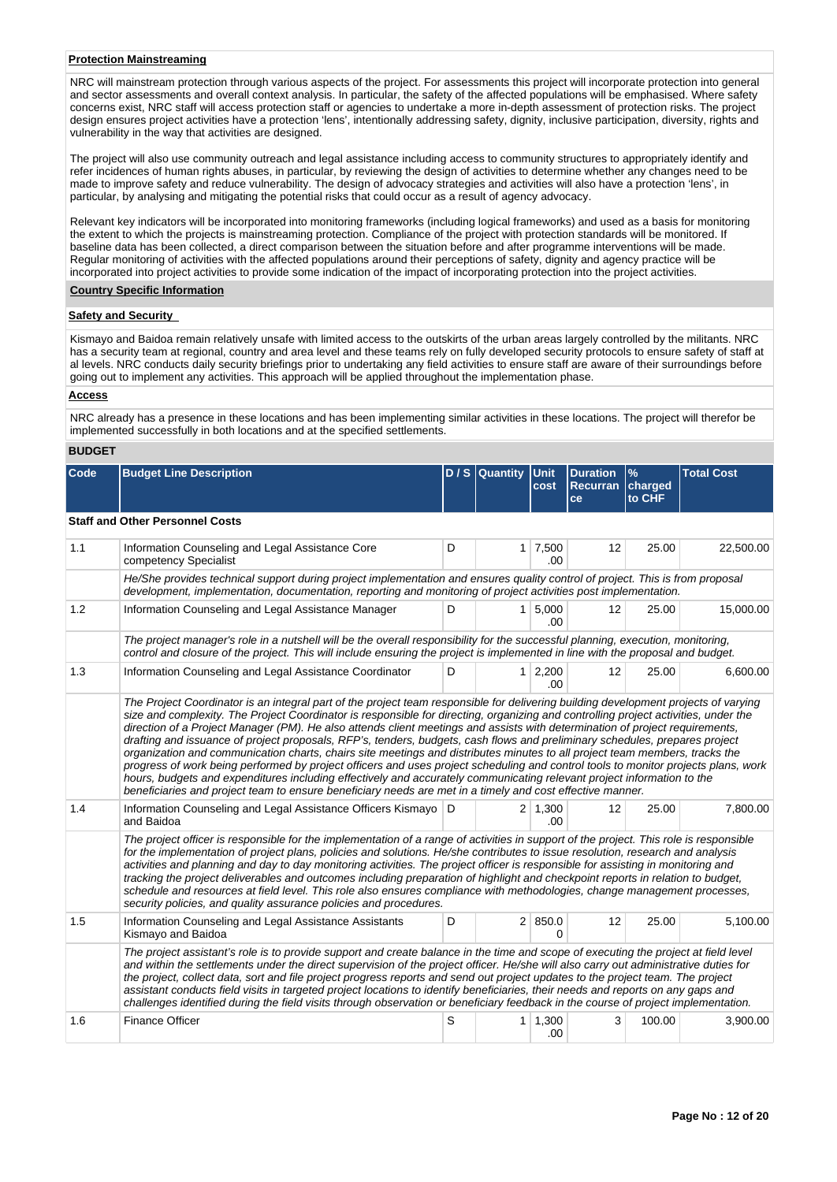#### **Protection Mainstreaming**

NRC will mainstream protection through various aspects of the project. For assessments this project will incorporate protection into general and sector assessments and overall context analysis. In particular, the safety of the affected populations will be emphasised. Where safety concerns exist, NRC staff will access protection staff or agencies to undertake a more in-depth assessment of protection risks. The project design ensures project activities have a protection 'lens', intentionally addressing safety, dignity, inclusive participation, diversity, rights and vulnerability in the way that activities are designed.

The project will also use community outreach and legal assistance including access to community structures to appropriately identify and refer incidences of human rights abuses, in particular, by reviewing the design of activities to determine whether any changes need to be made to improve safety and reduce vulnerability. The design of advocacy strategies and activities will also have a protection 'lens', in particular, by analysing and mitigating the potential risks that could occur as a result of agency advocacy.

Relevant key indicators will be incorporated into monitoring frameworks (including logical frameworks) and used as a basis for monitoring the extent to which the projects is mainstreaming protection. Compliance of the project with protection standards will be monitored. If baseline data has been collected, a direct comparison between the situation before and after programme interventions will be made. Regular monitoring of activities with the affected populations around their perceptions of safety, dignity and agency practice will be incorporated into project activities to provide some indication of the impact of incorporating protection into the project activities.

#### **Country Specific Information**

# **Safety and Security**

Kismayo and Baidoa remain relatively unsafe with limited access to the outskirts of the urban areas largely controlled by the militants. NRC has a security team at regional, country and area level and these teams rely on fully developed security protocols to ensure safety of staff at al levels. NRC conducts daily security briefings prior to undertaking any field activities to ensure staff are aware of their surroundings before going out to implement any activities. This approach will be applied throughout the implementation phase.

# **Access**

NRC already has a presence in these locations and has been implementing similar activities in these locations. The project will therefor be implemented successfully in both locations and at the specified settlements.

# **BUDGET**

| <b>Code</b>                            | <b>Budget Line Description</b>                                                                                                                                                                                                                                                                                                                                                                                                                                                                                                                                                                                                                                                                                                                                                                                                                                                                                 |   | $D/S$ Quantity | Unit<br>cost                | <b>Duration</b><br><b>Recurran</b><br>ce | $\frac{9}{6}$<br>charged<br>to CHF | <b>Total Cost</b> |  |  |  |  |
|----------------------------------------|----------------------------------------------------------------------------------------------------------------------------------------------------------------------------------------------------------------------------------------------------------------------------------------------------------------------------------------------------------------------------------------------------------------------------------------------------------------------------------------------------------------------------------------------------------------------------------------------------------------------------------------------------------------------------------------------------------------------------------------------------------------------------------------------------------------------------------------------------------------------------------------------------------------|---|----------------|-----------------------------|------------------------------------------|------------------------------------|-------------------|--|--|--|--|
| <b>Staff and Other Personnel Costs</b> |                                                                                                                                                                                                                                                                                                                                                                                                                                                                                                                                                                                                                                                                                                                                                                                                                                                                                                                |   |                |                             |                                          |                                    |                   |  |  |  |  |
| 1.1                                    | Information Counseling and Legal Assistance Core<br>competency Specialist                                                                                                                                                                                                                                                                                                                                                                                                                                                                                                                                                                                                                                                                                                                                                                                                                                      | D |                | $1 \overline{7,500}$<br>.00 | 12                                       | 25.00                              | 22,500.00         |  |  |  |  |
|                                        | He/She provides technical support during project implementation and ensures quality control of project. This is from proposal<br>development, implementation, documentation, reporting and monitoring of project activities post implementation.                                                                                                                                                                                                                                                                                                                                                                                                                                                                                                                                                                                                                                                               |   |                |                             |                                          |                                    |                   |  |  |  |  |
| 1.2                                    | Information Counseling and Legal Assistance Manager                                                                                                                                                                                                                                                                                                                                                                                                                                                                                                                                                                                                                                                                                                                                                                                                                                                            | D |                | $1 \, 5.000$<br>.00         | 12                                       | 25.00                              | 15,000.00         |  |  |  |  |
|                                        | The project manager's role in a nutshell will be the overall responsibility for the successful planning, execution, monitoring,<br>control and closure of the project. This will include ensuring the project is implemented in line with the proposal and budget.                                                                                                                                                                                                                                                                                                                                                                                                                                                                                                                                                                                                                                             |   |                |                             |                                          |                                    |                   |  |  |  |  |
| 1.3                                    | Information Counseling and Legal Assistance Coordinator                                                                                                                                                                                                                                                                                                                                                                                                                                                                                                                                                                                                                                                                                                                                                                                                                                                        | D |                | 1 2,200<br>.00.             | 12                                       | 25.00                              | 6,600.00          |  |  |  |  |
|                                        | size and complexity. The Project Coordinator is responsible for directing, organizing and controlling project activities, under the<br>direction of a Project Manager (PM). He also attends client meetings and assists with determination of project requirements,<br>drafting and issuance of project proposals, RFP's, tenders, budgets, cash flows and preliminary schedules, prepares project<br>organization and communication charts, chairs site meetings and distributes minutes to all project team members, tracks the<br>progress of work being performed by project officers and uses project scheduling and control tools to monitor projects plans, work<br>hours, budgets and expenditures including effectively and accurately communicating relevant project information to the<br>beneficiaries and project team to ensure beneficiary needs are met in a timely and cost effective manner. |   |                |                             | 12                                       |                                    |                   |  |  |  |  |
| 1.4                                    | Information Counseling and Legal Assistance Officers Kismayo   D<br>and Baidoa                                                                                                                                                                                                                                                                                                                                                                                                                                                                                                                                                                                                                                                                                                                                                                                                                                 |   |                | $2 \mid 1,300$<br>.00.      |                                          | 25.00                              | 7,800.00          |  |  |  |  |
|                                        | The project officer is responsible for the implementation of a range of activities in support of the project. This role is responsible<br>for the implementation of project plans, policies and solutions. He/she contributes to issue resolution, research and analysis<br>activities and planning and day to day monitoring activities. The project officer is responsible for assisting in monitoring and<br>tracking the project deliverables and outcomes including preparation of highlight and checkpoint reports in relation to budget,<br>schedule and resources at field level. This role also ensures compliance with methodologies, change management processes,<br>security policies, and quality assurance policies and procedures.                                                                                                                                                              |   |                |                             |                                          |                                    |                   |  |  |  |  |
| 1.5                                    | Information Counseling and Legal Assistance Assistants<br>Kismayo and Baidoa                                                                                                                                                                                                                                                                                                                                                                                                                                                                                                                                                                                                                                                                                                                                                                                                                                   | D |                | 2 850.0                     | 12                                       | 25.00                              | 5,100.00          |  |  |  |  |
|                                        | The project assistant's role is to provide support and create balance in the time and scope of executing the project at field level<br>and within the settlements under the direct supervision of the project officer. He/she will also carry out administrative duties for<br>the project, collect data, sort and file project progress reports and send out project updates to the project team. The project<br>assistant conducts field visits in targeted project locations to identify beneficiaries, their needs and reports on any gaps and<br>challenges identified during the field visits through observation or beneficiary feedback in the course of project implementation.                                                                                                                                                                                                                       |   |                |                             |                                          |                                    |                   |  |  |  |  |
| 1.6                                    | <b>Finance Officer</b>                                                                                                                                                                                                                                                                                                                                                                                                                                                                                                                                                                                                                                                                                                                                                                                                                                                                                         | S | 1 <sup>1</sup> | 1,300<br>.00                | 3                                        | 100.00                             | 3,900.00          |  |  |  |  |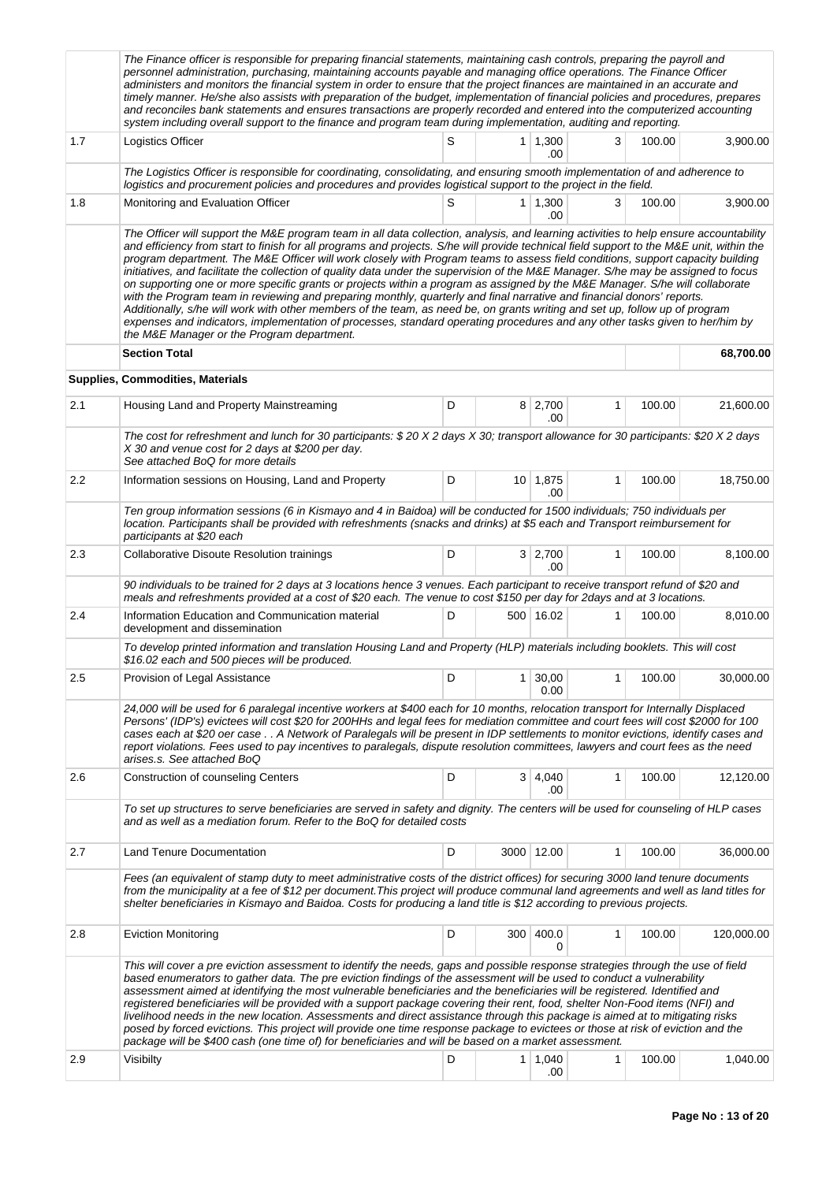|     | The Finance officer is responsible for preparing financial statements, maintaining cash controls, preparing the payroll and<br>personnel administration, purchasing, maintaining accounts payable and managing office operations. The Finance Officer<br>administers and monitors the financial system in order to ensure that the project finances are maintained in an accurate and<br>timely manner. He/she also assists with preparation of the budget, implementation of financial policies and procedures, prepares<br>and reconciles bank statements and ensures transactions are properly recorded and entered into the computerized accounting<br>system including overall support to the finance and program team during implementation, auditing and reporting.                                                                                                                                                                                                                                                                                                                                                                              |   |                |                       |              |        |            |
|-----|---------------------------------------------------------------------------------------------------------------------------------------------------------------------------------------------------------------------------------------------------------------------------------------------------------------------------------------------------------------------------------------------------------------------------------------------------------------------------------------------------------------------------------------------------------------------------------------------------------------------------------------------------------------------------------------------------------------------------------------------------------------------------------------------------------------------------------------------------------------------------------------------------------------------------------------------------------------------------------------------------------------------------------------------------------------------------------------------------------------------------------------------------------|---|----------------|-----------------------|--------------|--------|------------|
| 1.7 | Logistics Officer                                                                                                                                                                                                                                                                                                                                                                                                                                                                                                                                                                                                                                                                                                                                                                                                                                                                                                                                                                                                                                                                                                                                       | S | 1 <sup>1</sup> | 1,300<br>.00          | 3            | 100.00 | 3,900.00   |
|     | The Logistics Officer is responsible for coordinating, consolidating, and ensuring smooth implementation of and adherence to<br>logistics and procurement policies and procedures and provides logistical support to the project in the field.                                                                                                                                                                                                                                                                                                                                                                                                                                                                                                                                                                                                                                                                                                                                                                                                                                                                                                          |   |                |                       |              |        |            |
| 1.8 | Monitoring and Evaluation Officer                                                                                                                                                                                                                                                                                                                                                                                                                                                                                                                                                                                                                                                                                                                                                                                                                                                                                                                                                                                                                                                                                                                       | S |                | $1 \mid 1,300$<br>.00 | 3            | 100.00 | 3,900.00   |
|     | The Officer will support the M&E program team in all data collection, analysis, and learning activities to help ensure accountability<br>and efficiency from start to finish for all programs and projects. S/he will provide technical field support to the M&E unit, within the<br>program department. The M&E Officer will work closely with Program teams to assess field conditions, support capacity building<br>initiatives, and facilitate the collection of quality data under the supervision of the M&E Manager. S/he may be assigned to focus<br>on supporting one or more specific grants or projects within a program as assigned by the M&E Manager. S/he will collaborate<br>with the Program team in reviewing and preparing monthly, quarterly and final narrative and financial donors' reports.<br>Additionally, s/he will work with other members of the team, as need be, on grants writing and set up, follow up of program<br>expenses and indicators, implementation of processes, standard operating procedures and any other tasks given to her/him by<br>the M&E Manager or the Program department.<br><b>Section Total</b> |   |                |                       |              |        | 68,700.00  |
|     | <b>Supplies, Commodities, Materials</b>                                                                                                                                                                                                                                                                                                                                                                                                                                                                                                                                                                                                                                                                                                                                                                                                                                                                                                                                                                                                                                                                                                                 |   |                |                       |              |        |            |
| 2.1 |                                                                                                                                                                                                                                                                                                                                                                                                                                                                                                                                                                                                                                                                                                                                                                                                                                                                                                                                                                                                                                                                                                                                                         | D |                |                       | 1            | 100.00 |            |
|     | Housing Land and Property Mainstreaming                                                                                                                                                                                                                                                                                                                                                                                                                                                                                                                                                                                                                                                                                                                                                                                                                                                                                                                                                                                                                                                                                                                 |   |                | $8 \mid 2,700$<br>.00 |              |        | 21,600.00  |
|     | The cost for refreshment and lunch for 30 participants: \$20 X 2 days X 30; transport allowance for 30 participants: \$20 X 2 days<br>X 30 and venue cost for 2 days at \$200 per day.<br>See attached BoQ for more details                                                                                                                                                                                                                                                                                                                                                                                                                                                                                                                                                                                                                                                                                                                                                                                                                                                                                                                             |   |                |                       |              |        |            |
| 2.2 | Information sessions on Housing, Land and Property                                                                                                                                                                                                                                                                                                                                                                                                                                                                                                                                                                                                                                                                                                                                                                                                                                                                                                                                                                                                                                                                                                      | D |                | 10 1,875<br>.00       | $\mathbf{1}$ | 100.00 | 18,750.00  |
|     | Ten group information sessions (6 in Kismayo and 4 in Baidoa) will be conducted for 1500 individuals; 750 individuals per<br>location. Participants shall be provided with refreshments (snacks and drinks) at \$5 each and Transport reimbursement for<br>participants at \$20 each                                                                                                                                                                                                                                                                                                                                                                                                                                                                                                                                                                                                                                                                                                                                                                                                                                                                    |   |                |                       |              |        |            |
| 2.3 | Collaborative Disoute Resolution trainings                                                                                                                                                                                                                                                                                                                                                                                                                                                                                                                                                                                                                                                                                                                                                                                                                                                                                                                                                                                                                                                                                                              | D |                | 3 2,700<br>.00        | 1            | 100.00 | 8,100.00   |
|     | 90 individuals to be trained for 2 days at 3 locations hence 3 venues. Each participant to receive transport refund of \$20 and<br>meals and refreshments provided at a cost of \$20 each. The venue to cost \$150 per day for 2days and at 3 locations.                                                                                                                                                                                                                                                                                                                                                                                                                                                                                                                                                                                                                                                                                                                                                                                                                                                                                                |   |                |                       |              |        |            |
| 2.4 | Information Education and Communication material<br>development and dissemination                                                                                                                                                                                                                                                                                                                                                                                                                                                                                                                                                                                                                                                                                                                                                                                                                                                                                                                                                                                                                                                                       | D |                | 500 16.02             | 1            | 100.00 | 8,010.00   |
|     | To develop printed information and translation Housing Land and Property (HLP) materials including booklets. This will cost<br>\$16.02 each and 500 pieces will be produced.                                                                                                                                                                                                                                                                                                                                                                                                                                                                                                                                                                                                                                                                                                                                                                                                                                                                                                                                                                            |   |                |                       |              |        |            |
| 2.5 | Provision of Legal Assistance                                                                                                                                                                                                                                                                                                                                                                                                                                                                                                                                                                                                                                                                                                                                                                                                                                                                                                                                                                                                                                                                                                                           | D | 1 <sup>1</sup> | 30,00<br>0.00         | 1            | 100.00 | 30,000.00  |
|     | 24,000 will be used for 6 paralegal incentive workers at \$400 each for 10 months, relocation transport for Internally Displaced<br>Persons' (IDP's) evictees will cost \$20 for 200HHs and legal fees for mediation committee and court fees will cost \$2000 for 100<br>cases each at \$20 oer case A Network of Paralegals will be present in IDP settlements to monitor evictions, identify cases and<br>report violations. Fees used to pay incentives to paralegals, dispute resolution committees, lawyers and court fees as the need<br>arises.s. See attached BoQ                                                                                                                                                                                                                                                                                                                                                                                                                                                                                                                                                                              |   |                |                       |              |        |            |
| 2.6 | <b>Construction of counseling Centers</b>                                                                                                                                                                                                                                                                                                                                                                                                                                                                                                                                                                                                                                                                                                                                                                                                                                                                                                                                                                                                                                                                                                               | D |                | $3 \mid 4,040$<br>.00 | 1            | 100.00 | 12,120.00  |
|     | To set up structures to serve beneficiaries are served in safety and dignity. The centers will be used for counseling of HLP cases<br>and as well as a mediation forum. Refer to the BoQ for detailed costs                                                                                                                                                                                                                                                                                                                                                                                                                                                                                                                                                                                                                                                                                                                                                                                                                                                                                                                                             |   |                |                       |              |        |            |
| 2.7 | <b>Land Tenure Documentation</b>                                                                                                                                                                                                                                                                                                                                                                                                                                                                                                                                                                                                                                                                                                                                                                                                                                                                                                                                                                                                                                                                                                                        | D |                | 3000 12.00            | 1            | 100.00 | 36,000.00  |
|     | Fees (an equivalent of stamp duty to meet administrative costs of the district offices) for securing 3000 land tenure documents<br>from the municipality at a fee of \$12 per document. This project will produce communal land agreements and well as land titles for<br>shelter beneficiaries in Kismayo and Baidoa. Costs for producing a land title is \$12 according to previous projects.                                                                                                                                                                                                                                                                                                                                                                                                                                                                                                                                                                                                                                                                                                                                                         |   |                |                       |              |        |            |
| 2.8 | <b>Eviction Monitoring</b>                                                                                                                                                                                                                                                                                                                                                                                                                                                                                                                                                                                                                                                                                                                                                                                                                                                                                                                                                                                                                                                                                                                              | D | 300            | 400.0<br>0            | 1            | 100.00 | 120,000.00 |
|     | This will cover a pre eviction assessment to identify the needs, gaps and possible response strategies through the use of field<br>based enumerators to gather data. The pre eviction findings of the assessment will be used to conduct a vulnerability<br>assessment aimed at identifying the most vulnerable beneficiaries and the beneficiaries will be registered. Identified and<br>registered beneficiaries will be provided with a support package covering their rent, food, shelter Non-Food items (NFI) and<br>livelihood needs in the new location. Assessments and direct assistance through this package is aimed at to mitigating risks<br>posed by forced evictions. This project will provide one time response package to evictees or those at risk of eviction and the<br>package will be \$400 cash (one time of) for beneficiaries and will be based on a market assessment.                                                                                                                                                                                                                                                       |   |                |                       |              |        |            |
| 2.9 | Visibilty                                                                                                                                                                                                                                                                                                                                                                                                                                                                                                                                                                                                                                                                                                                                                                                                                                                                                                                                                                                                                                                                                                                                               | D |                | $1 \mid 1,040$<br>.00 | 1            | 100.00 | 1,040.00   |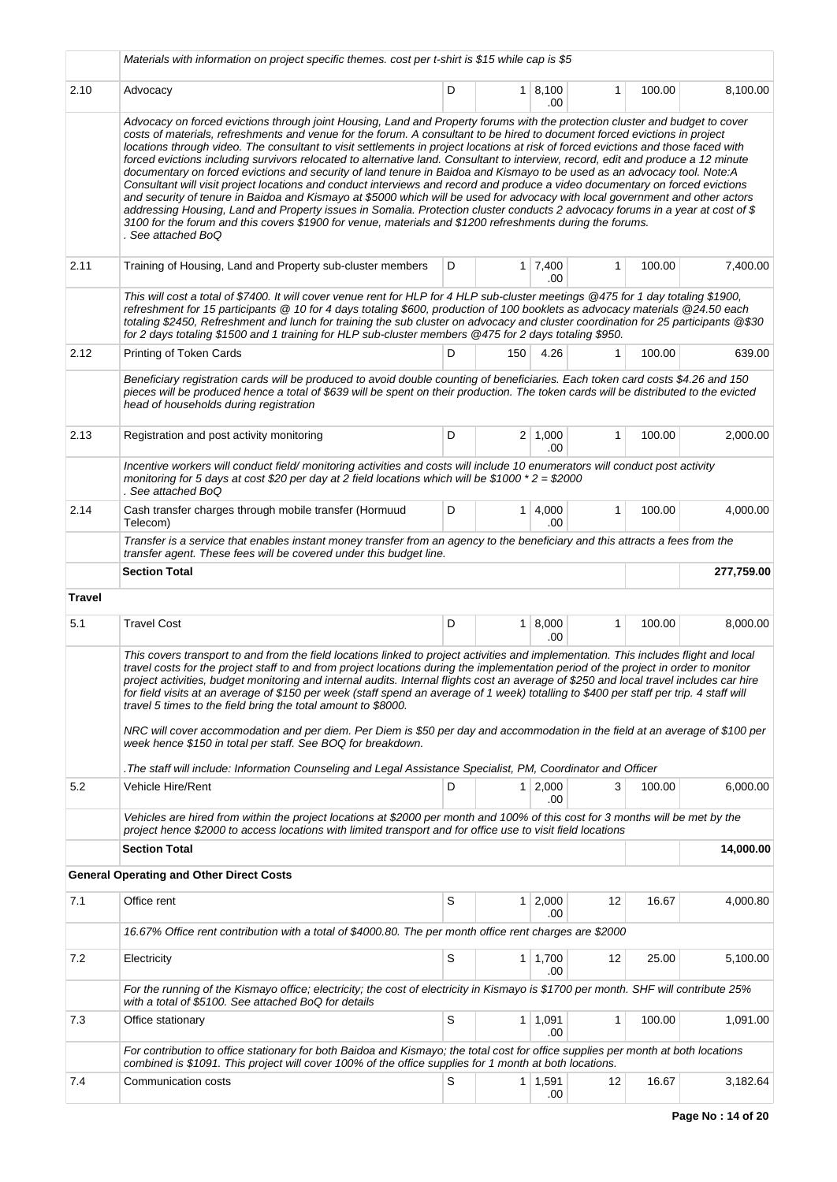|               | Materials with information on project specific themes. cost per t-shirt is \$15 while cap is \$5                                                                                                                                                                                                                                                                                                                                                                                                                                                                                                                                                                                                                                                                                                                                                                                                                                                                                                                                                                                                                                                                                                         |   |     |                        |              |        |            |
|---------------|----------------------------------------------------------------------------------------------------------------------------------------------------------------------------------------------------------------------------------------------------------------------------------------------------------------------------------------------------------------------------------------------------------------------------------------------------------------------------------------------------------------------------------------------------------------------------------------------------------------------------------------------------------------------------------------------------------------------------------------------------------------------------------------------------------------------------------------------------------------------------------------------------------------------------------------------------------------------------------------------------------------------------------------------------------------------------------------------------------------------------------------------------------------------------------------------------------|---|-----|------------------------|--------------|--------|------------|
| 2.10          | Advocacy                                                                                                                                                                                                                                                                                                                                                                                                                                                                                                                                                                                                                                                                                                                                                                                                                                                                                                                                                                                                                                                                                                                                                                                                 | D |     | 1   8,100<br>.00       | $\mathbf{1}$ | 100.00 | 8,100.00   |
|               | Advocacy on forced evictions through joint Housing, Land and Property forums with the protection cluster and budget to cover<br>costs of materials, refreshments and venue for the forum. A consultant to be hired to document forced evictions in project<br>locations through video. The consultant to visit settlements in project locations at risk of forced evictions and those faced with<br>forced evictions including survivors relocated to alternative land. Consultant to interview, record, edit and produce a 12 minute<br>documentary on forced evictions and security of land tenure in Baidoa and Kismayo to be used as an advocacy tool. Note:A<br>Consultant will visit project locations and conduct interviews and record and produce a video documentary on forced evictions<br>and security of tenure in Baidoa and Kismayo at \$5000 which will be used for advocacy with local government and other actors<br>addressing Housing, Land and Property issues in Somalia. Protection cluster conducts 2 advocacy forums in a year at cost of \$<br>3100 for the forum and this covers \$1900 for venue, materials and \$1200 refreshments during the forums.<br>. See attached BoQ |   |     |                        |              |        |            |
| 2.11          | Training of Housing, Land and Property sub-cluster members                                                                                                                                                                                                                                                                                                                                                                                                                                                                                                                                                                                                                                                                                                                                                                                                                                                                                                                                                                                                                                                                                                                                               | D |     | $1 \mid 7,400$<br>.00  | 1            | 100.00 | 7,400.00   |
|               | This will cost a total of \$7400. It will cover venue rent for HLP for 4 HLP sub-cluster meetings @475 for 1 day totaling \$1900,<br>refreshment for 15 participants @ 10 for 4 days totaling \$600, production of 100 booklets as advocacy materials @24.50 each<br>totaling \$2450, Refreshment and lunch for training the sub cluster on advocacy and cluster coordination for 25 participants @\$30<br>for 2 days totaling \$1500 and 1 training for HLP sub-cluster members @475 for 2 days totaling \$950.                                                                                                                                                                                                                                                                                                                                                                                                                                                                                                                                                                                                                                                                                         |   |     |                        |              |        |            |
| 2.12          | Printing of Token Cards                                                                                                                                                                                                                                                                                                                                                                                                                                                                                                                                                                                                                                                                                                                                                                                                                                                                                                                                                                                                                                                                                                                                                                                  | D | 150 | 4.26                   | 1            | 100.00 | 639.00     |
|               | Beneficiary registration cards will be produced to avoid double counting of beneficiaries. Each token card costs \$4.26 and 150<br>pieces will be produced hence a total of \$639 will be spent on their production. The token cards will be distributed to the evicted<br>head of households during registration                                                                                                                                                                                                                                                                                                                                                                                                                                                                                                                                                                                                                                                                                                                                                                                                                                                                                        |   |     |                        |              |        |            |
| 2.13          | Registration and post activity monitoring                                                                                                                                                                                                                                                                                                                                                                                                                                                                                                                                                                                                                                                                                                                                                                                                                                                                                                                                                                                                                                                                                                                                                                | D |     | $2 \mid 1,000$<br>.00  | 1            | 100.00 | 2,000.00   |
|               | Incentive workers will conduct field/ monitoring activities and costs will include 10 enumerators will conduct post activity<br>monitoring for 5 days at cost \$20 per day at 2 field locations which will be \$1000 $*2 = $2000$<br>. See attached BoQ                                                                                                                                                                                                                                                                                                                                                                                                                                                                                                                                                                                                                                                                                                                                                                                                                                                                                                                                                  |   |     |                        |              |        |            |
| 2.14          | Cash transfer charges through mobile transfer (Hormuud<br>Telecom)                                                                                                                                                                                                                                                                                                                                                                                                                                                                                                                                                                                                                                                                                                                                                                                                                                                                                                                                                                                                                                                                                                                                       | D |     | $1 \mid 4,000$<br>.00  | $\mathbf{1}$ | 100.00 | 4,000.00   |
|               | Transfer is a service that enables instant money transfer from an agency to the beneficiary and this attracts a fees from the<br>transfer agent. These fees will be covered under this budget line.                                                                                                                                                                                                                                                                                                                                                                                                                                                                                                                                                                                                                                                                                                                                                                                                                                                                                                                                                                                                      |   |     |                        |              |        |            |
|               | <b>Section Total</b>                                                                                                                                                                                                                                                                                                                                                                                                                                                                                                                                                                                                                                                                                                                                                                                                                                                                                                                                                                                                                                                                                                                                                                                     |   |     |                        |              |        | 277,759.00 |
| <b>Travel</b> |                                                                                                                                                                                                                                                                                                                                                                                                                                                                                                                                                                                                                                                                                                                                                                                                                                                                                                                                                                                                                                                                                                                                                                                                          |   |     |                        |              |        |            |
| 5.1           | <b>Travel Cost</b>                                                                                                                                                                                                                                                                                                                                                                                                                                                                                                                                                                                                                                                                                                                                                                                                                                                                                                                                                                                                                                                                                                                                                                                       | D |     | $1 \, 8,000$<br>.00    | 1            | 100.00 | 8,000.00   |
|               | This covers transport to and from the field locations linked to project activities and implementation. This includes flight and local<br>travel costs for the project staff to and from project locations during the implementation period of the project in order to monitor<br>project activities, budget monitoring and internal audits. Internal flights cost an average of \$250 and local travel includes car hire<br>for field visits at an average of \$150 per week (staff spend an average of 1 week) totalling to \$400 per staff per trip. 4 staff will<br>travel 5 times to the field bring the total amount to \$8000.<br>NRC will cover accommodation and per diem. Per Diem is \$50 per day and accommodation in the field at an average of \$100 per<br>week hence \$150 in total per staff. See BOQ for breakdown.<br>The staff will include: Information Counseling and Legal Assistance Specialist, PM, Coordinator and Officer.                                                                                                                                                                                                                                                     |   |     |                        |              |        |            |
| 5.2           | Vehicle Hire/Rent                                                                                                                                                                                                                                                                                                                                                                                                                                                                                                                                                                                                                                                                                                                                                                                                                                                                                                                                                                                                                                                                                                                                                                                        | D |     | $1 \, 2,000$<br>.00    | 3            | 100.00 | 6,000.00   |
|               | Vehicles are hired from within the project locations at \$2000 per month and 100% of this cost for 3 months will be met by the<br>project hence \$2000 to access locations with limited transport and for office use to visit field locations                                                                                                                                                                                                                                                                                                                                                                                                                                                                                                                                                                                                                                                                                                                                                                                                                                                                                                                                                            |   |     |                        |              |        |            |
|               | <b>Section Total</b>                                                                                                                                                                                                                                                                                                                                                                                                                                                                                                                                                                                                                                                                                                                                                                                                                                                                                                                                                                                                                                                                                                                                                                                     |   |     |                        |              |        | 14,000.00  |
|               | <b>General Operating and Other Direct Costs</b>                                                                                                                                                                                                                                                                                                                                                                                                                                                                                                                                                                                                                                                                                                                                                                                                                                                                                                                                                                                                                                                                                                                                                          |   |     |                        |              |        |            |
| 7.1           | Office rent                                                                                                                                                                                                                                                                                                                                                                                                                                                                                                                                                                                                                                                                                                                                                                                                                                                                                                                                                                                                                                                                                                                                                                                              | S |     | $1 \quad 2,000$<br>.00 | 12           | 16.67  | 4,000.80   |
|               | 16.67% Office rent contribution with a total of \$4000.80. The per month office rent charges are \$2000                                                                                                                                                                                                                                                                                                                                                                                                                                                                                                                                                                                                                                                                                                                                                                                                                                                                                                                                                                                                                                                                                                  |   |     |                        |              |        |            |
| 7.2           | Electricity                                                                                                                                                                                                                                                                                                                                                                                                                                                                                                                                                                                                                                                                                                                                                                                                                                                                                                                                                                                                                                                                                                                                                                                              | S |     | $1 \mid 1,700$<br>.00  | 12           | 25.00  | 5,100.00   |
|               | For the running of the Kismayo office; electricity; the cost of electricity in Kismayo is \$1700 per month. SHF will contribute 25%<br>with a total of \$5100. See attached BoQ for details                                                                                                                                                                                                                                                                                                                                                                                                                                                                                                                                                                                                                                                                                                                                                                                                                                                                                                                                                                                                              |   |     |                        |              |        |            |
| 7.3           | Office stationary                                                                                                                                                                                                                                                                                                                                                                                                                                                                                                                                                                                                                                                                                                                                                                                                                                                                                                                                                                                                                                                                                                                                                                                        | S |     | $1 \mid 1,091$<br>.00  | 1            | 100.00 | 1,091.00   |
|               | For contribution to office stationary for both Baidoa and Kismayo; the total cost for office supplies per month at both locations<br>combined is \$1091. This project will cover 100% of the office supplies for 1 month at both locations.                                                                                                                                                                                                                                                                                                                                                                                                                                                                                                                                                                                                                                                                                                                                                                                                                                                                                                                                                              |   |     |                        |              |        |            |
| 7.4           | Communication costs                                                                                                                                                                                                                                                                                                                                                                                                                                                                                                                                                                                                                                                                                                                                                                                                                                                                                                                                                                                                                                                                                                                                                                                      | S |     | $1 \mid 1,591$<br>.00  | 12           | 16.67  | 3,182.64   |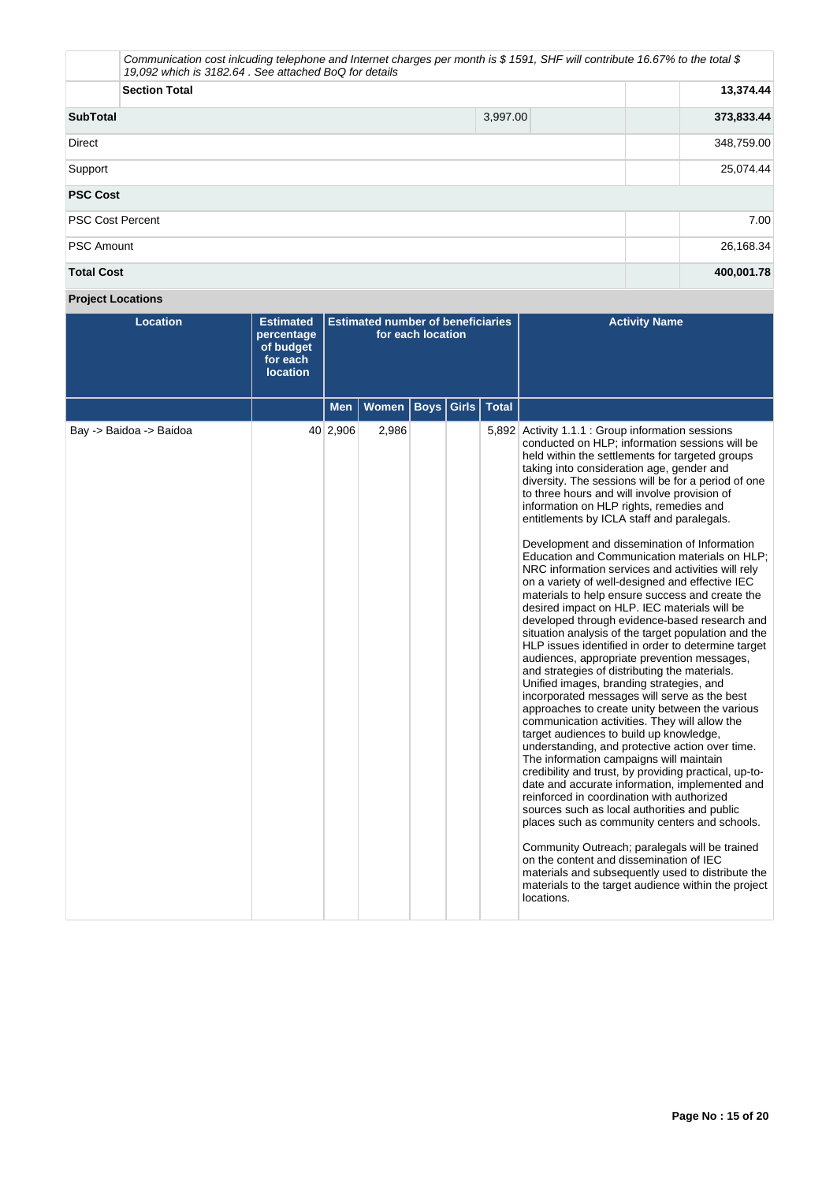|                         | Communication cost inlcuding telephone and Internet charges per month is \$1591, SHF will contribute 16.67% to the total \$<br>19,092 which is 3182.64. See attached BoQ for details |            |  |  |  |  |
|-------------------------|--------------------------------------------------------------------------------------------------------------------------------------------------------------------------------------|------------|--|--|--|--|
| <b>Section Total</b>    |                                                                                                                                                                                      | 13,374.44  |  |  |  |  |
| <b>SubTotal</b>         | 3,997.00                                                                                                                                                                             | 373,833.44 |  |  |  |  |
| Direct                  |                                                                                                                                                                                      | 348,759.00 |  |  |  |  |
| Support                 |                                                                                                                                                                                      | 25,074.44  |  |  |  |  |
| <b>PSC Cost</b>         |                                                                                                                                                                                      |            |  |  |  |  |
| <b>PSC Cost Percent</b> |                                                                                                                                                                                      | 7.00       |  |  |  |  |
| <b>PSC Amount</b>       |                                                                                                                                                                                      | 26,168.34  |  |  |  |  |
| <b>Total Cost</b>       |                                                                                                                                                                                      | 400,001.78 |  |  |  |  |

# **Project Locations**

| <b>Location</b>         | <b>Estimated</b><br>percentage<br>of budget<br>for each<br><b>location</b> | <b>Estimated number of beneficiaries</b><br>for each location |       |  |                           | <b>Activity Name</b>                                                                                                                                                                                                                                                                                                                                                                                                                                                                                                                                                                                                                                                                                                                                                                                                                                                                                                                                                                                                                                                                                                                                                                                                                                                                                                                                                                                                                                                                                                                                                                                                                                                                                                                                                                                   |
|-------------------------|----------------------------------------------------------------------------|---------------------------------------------------------------|-------|--|---------------------------|--------------------------------------------------------------------------------------------------------------------------------------------------------------------------------------------------------------------------------------------------------------------------------------------------------------------------------------------------------------------------------------------------------------------------------------------------------------------------------------------------------------------------------------------------------------------------------------------------------------------------------------------------------------------------------------------------------------------------------------------------------------------------------------------------------------------------------------------------------------------------------------------------------------------------------------------------------------------------------------------------------------------------------------------------------------------------------------------------------------------------------------------------------------------------------------------------------------------------------------------------------------------------------------------------------------------------------------------------------------------------------------------------------------------------------------------------------------------------------------------------------------------------------------------------------------------------------------------------------------------------------------------------------------------------------------------------------------------------------------------------------------------------------------------------------|
|                         |                                                                            | <b>Men</b>                                                    | Women |  | <b>Boys Girls   Total</b> |                                                                                                                                                                                                                                                                                                                                                                                                                                                                                                                                                                                                                                                                                                                                                                                                                                                                                                                                                                                                                                                                                                                                                                                                                                                                                                                                                                                                                                                                                                                                                                                                                                                                                                                                                                                                        |
| Bay -> Baidoa -> Baidoa |                                                                            | 40 2,906                                                      | 2,986 |  |                           | 5,892 Activity 1.1.1 : Group information sessions<br>conducted on HLP; information sessions will be<br>held within the settlements for targeted groups<br>taking into consideration age, gender and<br>diversity. The sessions will be for a period of one<br>to three hours and will involve provision of<br>information on HLP rights, remedies and<br>entitlements by ICLA staff and paralegals.<br>Development and dissemination of Information<br>Education and Communication materials on HLP;<br>NRC information services and activities will rely<br>on a variety of well-designed and effective IEC<br>materials to help ensure success and create the<br>desired impact on HLP. IEC materials will be<br>developed through evidence-based research and<br>situation analysis of the target population and the<br>HLP issues identified in order to determine target<br>audiences, appropriate prevention messages,<br>and strategies of distributing the materials.<br>Unified images, branding strategies, and<br>incorporated messages will serve as the best<br>approaches to create unity between the various<br>communication activities. They will allow the<br>target audiences to build up knowledge,<br>understanding, and protective action over time.<br>The information campaigns will maintain<br>credibility and trust, by providing practical, up-to-<br>date and accurate information, implemented and<br>reinforced in coordination with authorized<br>sources such as local authorities and public<br>places such as community centers and schools.<br>Community Outreach; paralegals will be trained<br>on the content and dissemination of IEC<br>materials and subsequently used to distribute the<br>materials to the target audience within the project<br>locations. |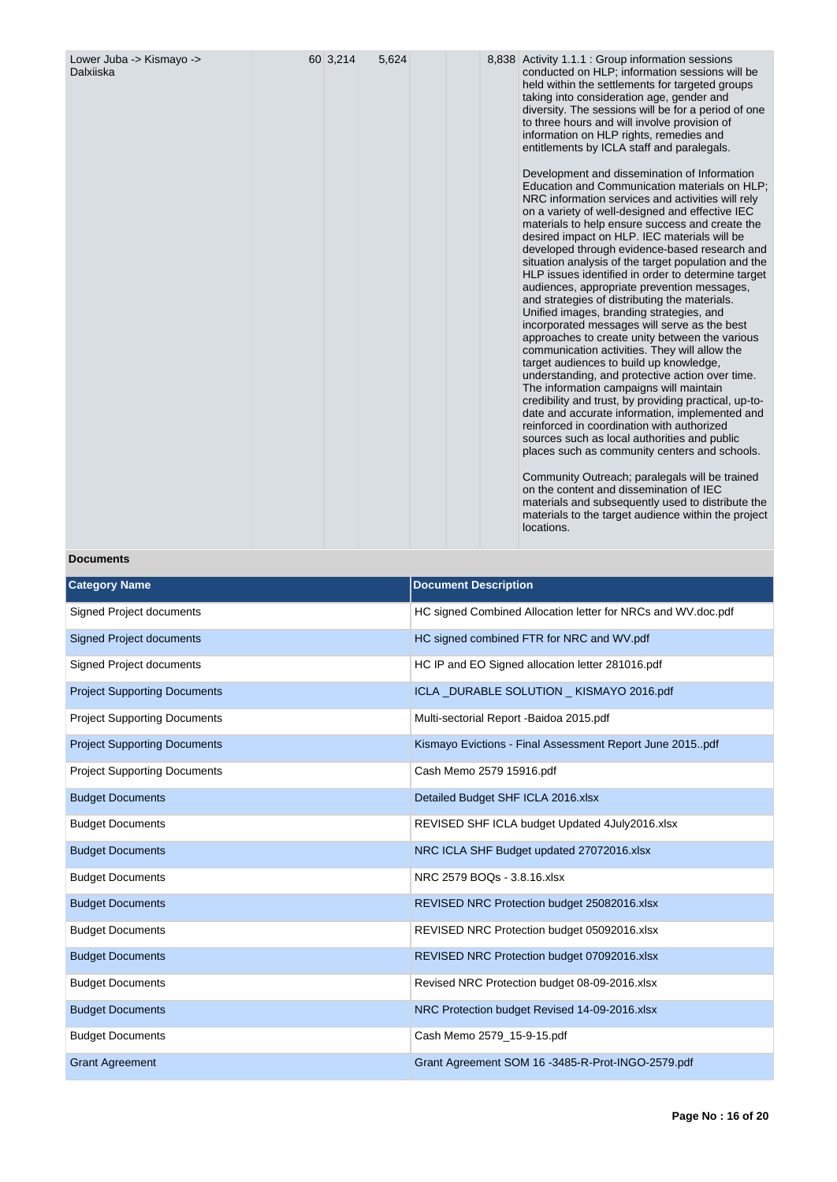| Lower Juba -> Kismayo -><br>Dalxiiska | 60 3,214 | 5,624 |  | 8,838 Activity 1.1.1 : Group information sessions<br>conducted on HLP; information sessions will be<br>held within the settlements for targeted groups<br>taking into consideration age, gender and<br>diversity. The sessions will be for a period of one<br>to three hours and will involve provision of<br>information on HLP rights, remedies and<br>entitlements by ICLA staff and paralegals.<br>Development and dissemination of Information<br>Education and Communication materials on HLP;<br>NRC information services and activities will rely<br>on a variety of well-designed and effective IEC<br>materials to help ensure success and create the<br>desired impact on HLP. IEC materials will be<br>developed through evidence-based research and<br>situation analysis of the target population and the<br>HLP issues identified in order to determine target<br>audiences, appropriate prevention messages,<br>and strategies of distributing the materials.<br>Unified images, branding strategies, and<br>incorporated messages will serve as the best<br>approaches to create unity between the various<br>communication activities. They will allow the<br>target audiences to build up knowledge,<br>understanding, and protective action over time.<br>The information campaigns will maintain<br>credibility and trust, by providing practical, up-to-<br>date and accurate information, implemented and<br>reinforced in coordination with authorized<br>sources such as local authorities and public<br>places such as community centers and schools. |
|---------------------------------------|----------|-------|--|---------------------------------------------------------------------------------------------------------------------------------------------------------------------------------------------------------------------------------------------------------------------------------------------------------------------------------------------------------------------------------------------------------------------------------------------------------------------------------------------------------------------------------------------------------------------------------------------------------------------------------------------------------------------------------------------------------------------------------------------------------------------------------------------------------------------------------------------------------------------------------------------------------------------------------------------------------------------------------------------------------------------------------------------------------------------------------------------------------------------------------------------------------------------------------------------------------------------------------------------------------------------------------------------------------------------------------------------------------------------------------------------------------------------------------------------------------------------------------------------------------------------------------------------------------------------------------|
|                                       |          |       |  | Community Outreach; paralegals will be trained<br>on the content and dissemination of IEC<br>materials and subsequently used to distribute the<br>materials to the target audience within the project<br>locations.                                                                                                                                                                                                                                                                                                                                                                                                                                                                                                                                                                                                                                                                                                                                                                                                                                                                                                                                                                                                                                                                                                                                                                                                                                                                                                                                                             |

# **Documents**

| <b>Category Name</b>                | <b>Document Description</b>                                  |
|-------------------------------------|--------------------------------------------------------------|
| Signed Project documents            | HC signed Combined Allocation letter for NRCs and WV.doc.pdf |
| <b>Signed Project documents</b>     | HC signed combined FTR for NRC and WV.pdf                    |
| <b>Signed Project documents</b>     | HC IP and EO Signed allocation letter 281016.pdf             |
| <b>Project Supporting Documents</b> | ICLA_DURABLE SOLUTION _ KISMAYO 2016.pdf                     |
| <b>Project Supporting Documents</b> | Multi-sectorial Report - Baidoa 2015.pdf                     |
| <b>Project Supporting Documents</b> | Kismayo Evictions - Final Assessment Report June 2015pdf     |
| <b>Project Supporting Documents</b> | Cash Memo 2579 15916.pdf                                     |
| <b>Budget Documents</b>             | Detailed Budget SHF ICLA 2016.xlsx                           |
| <b>Budget Documents</b>             | REVISED SHF ICLA budget Updated 4July2016.xlsx               |
| <b>Budget Documents</b>             | NRC ICLA SHF Budget updated 27072016.xlsx                    |
| <b>Budget Documents</b>             | NRC 2579 BOQs - 3.8.16.xlsx                                  |
| <b>Budget Documents</b>             | REVISED NRC Protection budget 25082016.xlsx                  |
| <b>Budget Documents</b>             | REVISED NRC Protection budget 05092016.xlsx                  |
| <b>Budget Documents</b>             | REVISED NRC Protection budget 07092016.xlsx                  |
| <b>Budget Documents</b>             | Revised NRC Protection budget 08-09-2016.xlsx                |
| <b>Budget Documents</b>             | NRC Protection budget Revised 14-09-2016.xlsx                |
| <b>Budget Documents</b>             | Cash Memo 2579_15-9-15.pdf                                   |
| <b>Grant Agreement</b>              | Grant Agreement SOM 16 -3485-R-Prot-INGO-2579.pdf            |